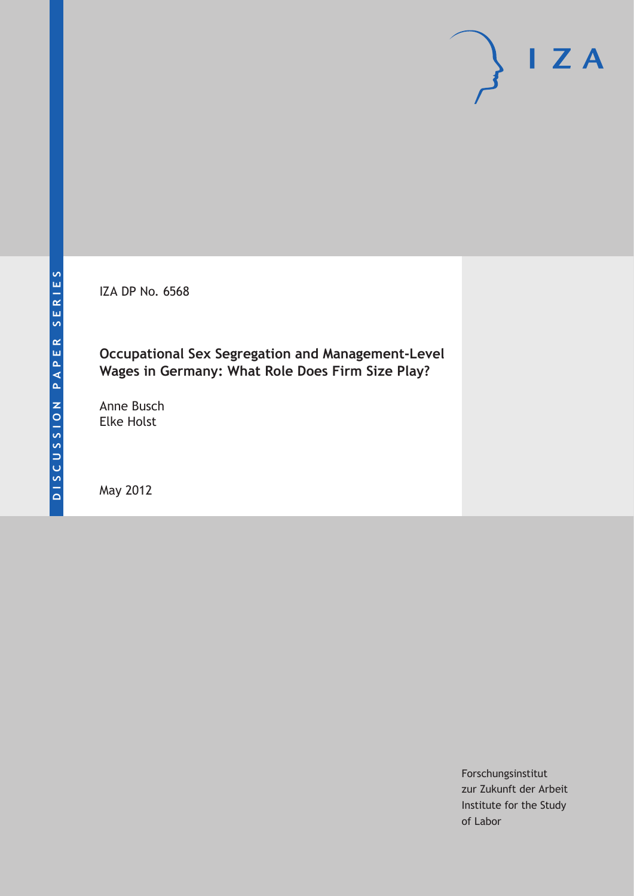IZA DP No. 6568

# **Occupational Sex Segregation and Management-Level Wages in Germany: What Role Does Firm Size Play?**

Anne Busch Elke Holst

May 2012

Forschungsinstitut zur Zukunft der Arbeit Institute for the Study of Labor

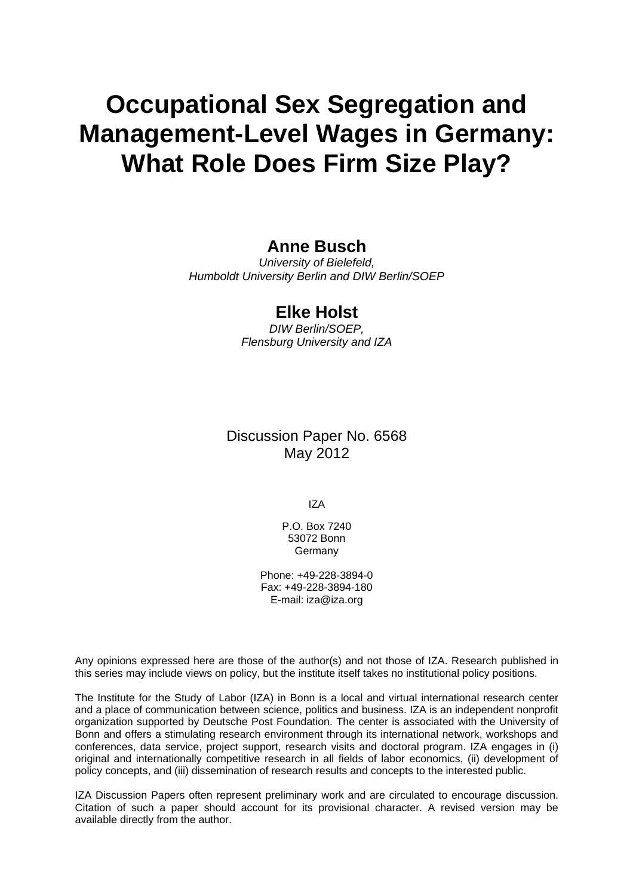# **Occupational Sex Segregation and Management-Level Wages in Germany: What Role Does Firm Size Play?**

### **Anne Busch**

*University of Bielefeld, Humboldt University Berlin and DIW Berlin/SOEP* 

### **Elke Holst**

*DIW Berlin/SOEP, Flensburg University and IZA* 

Discussion Paper No. 6568 May 2012

IZA

P.O. Box 7240 53072 Bonn **Germany** 

Phone: +49-228-3894-0 Fax: +49-228-3894-180 E-mail: [iza@iza.org](mailto:iza@iza.org)

Any opinions expressed here are those of the author(s) and not those of IZA. Research published in this series may include views on policy, but the institute itself takes no institutional policy positions.

The Institute for the Study of Labor (IZA) in Bonn is a local and virtual international research center and a place of communication between science, politics and business. IZA is an independent nonprofit organization supported by Deutsche Post Foundation. The center is associated with the University of Bonn and offers a stimulating research environment through its international network, workshops and conferences, data service, project support, research visits and doctoral program. IZA engages in (i) original and internationally competitive research in all fields of labor economics, (ii) development of policy concepts, and (iii) dissemination of research results and concepts to the interested public.

IZA Discussion Papers often represent preliminary work and are circulated to encourage discussion. Citation of such a paper should account for its provisional character. A revised version may be available directly from the author.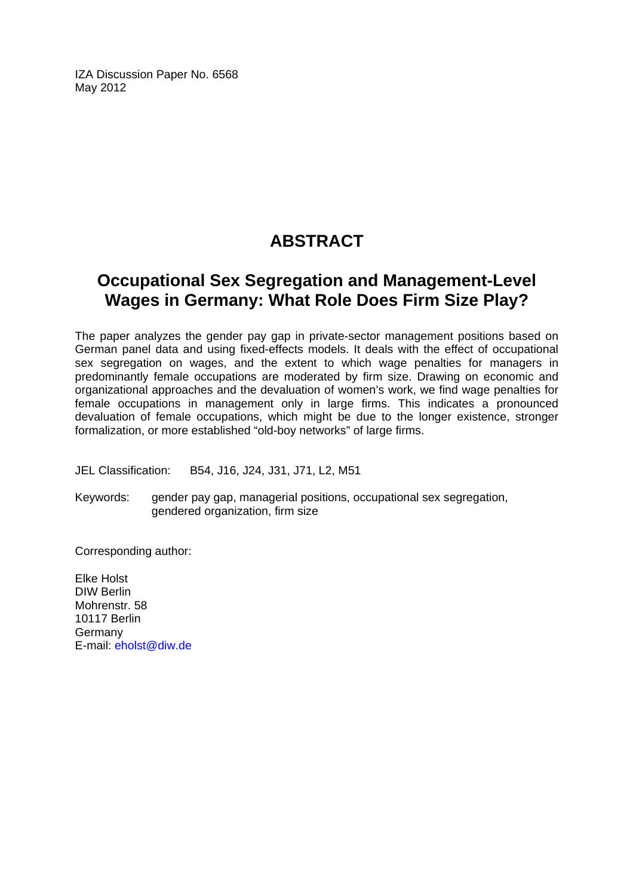IZA Discussion Paper No. 6568 May 2012

# **ABSTRACT**

# **Occupational Sex Segregation and Management-Level Wages in Germany: What Role Does Firm Size Play?**

The paper analyzes the gender pay gap in private-sector management positions based on German panel data and using fixed-effects models. It deals with the effect of occupational sex segregation on wages, and the extent to which wage penalties for managers in predominantly female occupations are moderated by firm size. Drawing on economic and organizational approaches and the devaluation of women's work, we find wage penalties for female occupations in management only in large firms. This indicates a pronounced devaluation of female occupations, which might be due to the longer existence, stronger formalization, or more established "old-boy networks" of large firms.

JEL Classification: B54, J16, J24, J31, J71, L2, M51

Keywords: gender pay gap, managerial positions, occupational sex segregation, gendered organization, firm size

Corresponding author:

Elke Holst DIW Berlin Mohrenstr. 58 10117 Berlin Germany E-mail: [eholst@diw.de](mailto:eholst@diw.de)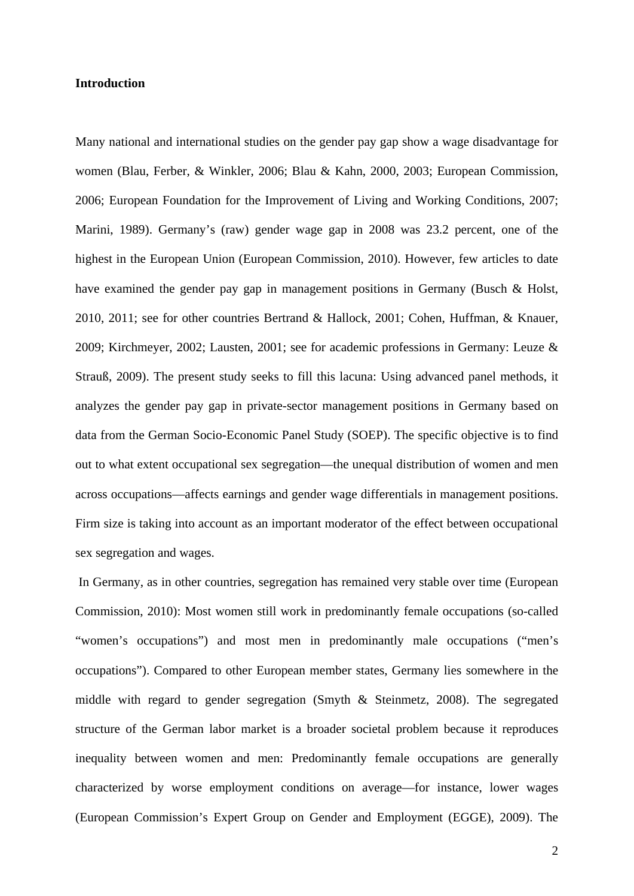#### **Introduction**

Many national and international studies on the gender pay gap show a wage disadvantage for women (Blau, Ferber, & Winkler, 2006; Blau & Kahn, 2000, 2003; European Commission, 2006; European Foundation for the Improvement of Living and Working Conditions, 2007; Marini, 1989). Germany's (raw) gender wage gap in 2008 was 23.2 percent, one of the highest in the European Union (European Commission, 2010). However, few articles to date have examined the gender pay gap in management positions in Germany (Busch & Holst, 2010, 2011; see for other countries Bertrand & Hallock, 2001; Cohen, Huffman, & Knauer, 2009; Kirchmeyer, 2002; Lausten, 2001; see for academic professions in Germany: Leuze & Strauß, 2009). The present study seeks to fill this lacuna: Using advanced panel methods, it analyzes the gender pay gap in private-sector management positions in Germany based on data from the German Socio-Economic Panel Study (SOEP). The specific objective is to find out to what extent occupational sex segregation—the unequal distribution of women and men across occupations—affects earnings and gender wage differentials in management positions. Firm size is taking into account as an important moderator of the effect between occupational sex segregation and wages.

 In Germany, as in other countries, segregation has remained very stable over time (European Commission, 2010): Most women still work in predominantly female occupations (so-called "women's occupations") and most men in predominantly male occupations ("men's occupations"). Compared to other European member states, Germany lies somewhere in the middle with regard to gender segregation (Smyth & Steinmetz, 2008). The segregated structure of the German labor market is a broader societal problem because it reproduces inequality between women and men: Predominantly female occupations are generally characterized by worse employment conditions on average—for instance, lower wages (European Commission's Expert Group on Gender and Employment (EGGE), 2009). The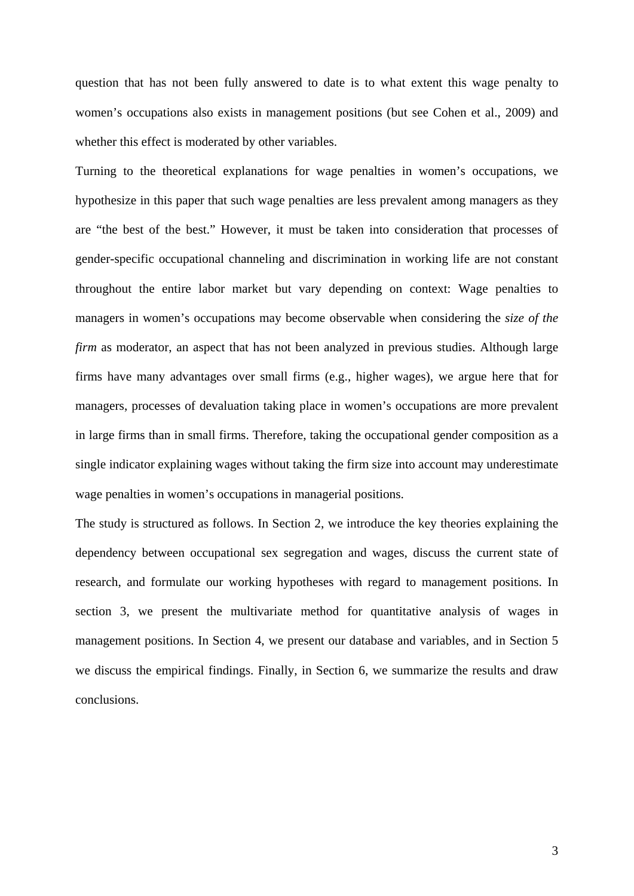question that has not been fully answered to date is to what extent this wage penalty to women's occupations also exists in management positions (but see Cohen et al., 2009) and whether this effect is moderated by other variables.

Turning to the theoretical explanations for wage penalties in women's occupations, we hypothesize in this paper that such wage penalties are less prevalent among managers as they are "the best of the best." However, it must be taken into consideration that processes of gender-specific occupational channeling and discrimination in working life are not constant throughout the entire labor market but vary depending on context: Wage penalties to managers in women's occupations may become observable when considering the *size of the firm* as moderator, an aspect that has not been analyzed in previous studies. Although large firms have many advantages over small firms (e.g., higher wages), we argue here that for managers, processes of devaluation taking place in women's occupations are more prevalent in large firms than in small firms. Therefore, taking the occupational gender composition as a single indicator explaining wages without taking the firm size into account may underestimate wage penalties in women's occupations in managerial positions.

The study is structured as follows. In Section 2, we introduce the key theories explaining the dependency between occupational sex segregation and wages, discuss the current state of research, and formulate our working hypotheses with regard to management positions. In section 3, we present the multivariate method for quantitative analysis of wages in management positions. In Section 4, we present our database and variables, and in Section 5 we discuss the empirical findings. Finally, in Section 6, we summarize the results and draw conclusions.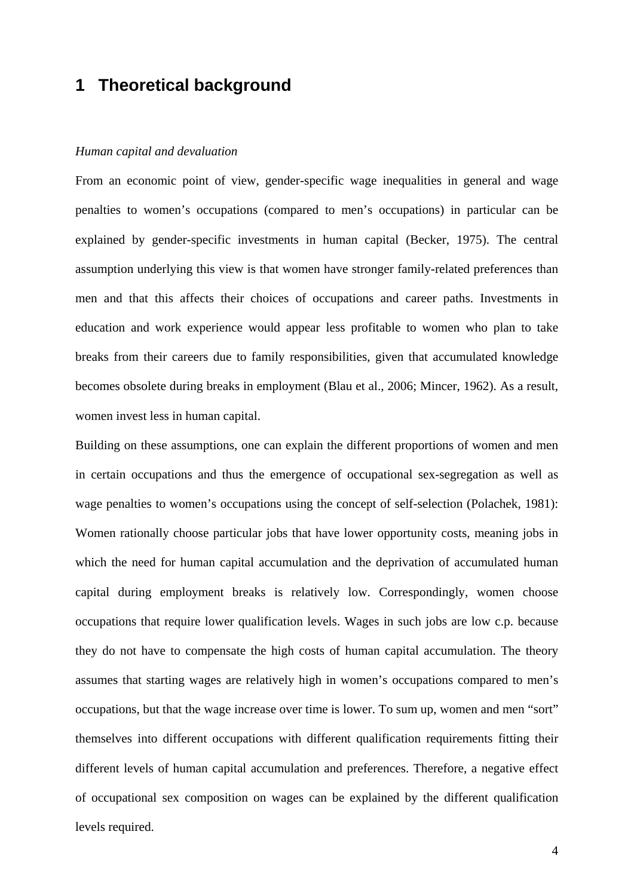# **1 Theoretical background**

#### *Human capital and devaluation*

From an economic point of view, gender-specific wage inequalities in general and wage penalties to women's occupations (compared to men's occupations) in particular can be explained by gender-specific investments in human capital (Becker, 1975). The central assumption underlying this view is that women have stronger family-related preferences than men and that this affects their choices of occupations and career paths. Investments in education and work experience would appear less profitable to women who plan to take breaks from their careers due to family responsibilities, given that accumulated knowledge becomes obsolete during breaks in employment (Blau et al., 2006; Mincer, 1962). As a result, women invest less in human capital.

Building on these assumptions, one can explain the different proportions of women and men in certain occupations and thus the emergence of occupational sex-segregation as well as wage penalties to women's occupations using the concept of self-selection (Polachek, 1981): Women rationally choose particular jobs that have lower opportunity costs, meaning jobs in which the need for human capital accumulation and the deprivation of accumulated human capital during employment breaks is relatively low. Correspondingly, women choose occupations that require lower qualification levels. Wages in such jobs are low c.p. because they do not have to compensate the high costs of human capital accumulation. The theory assumes that starting wages are relatively high in women's occupations compared to men's occupations, but that the wage increase over time is lower. To sum up, women and men "sort" themselves into different occupations with different qualification requirements fitting their different levels of human capital accumulation and preferences. Therefore, a negative effect of occupational sex composition on wages can be explained by the different qualification levels required.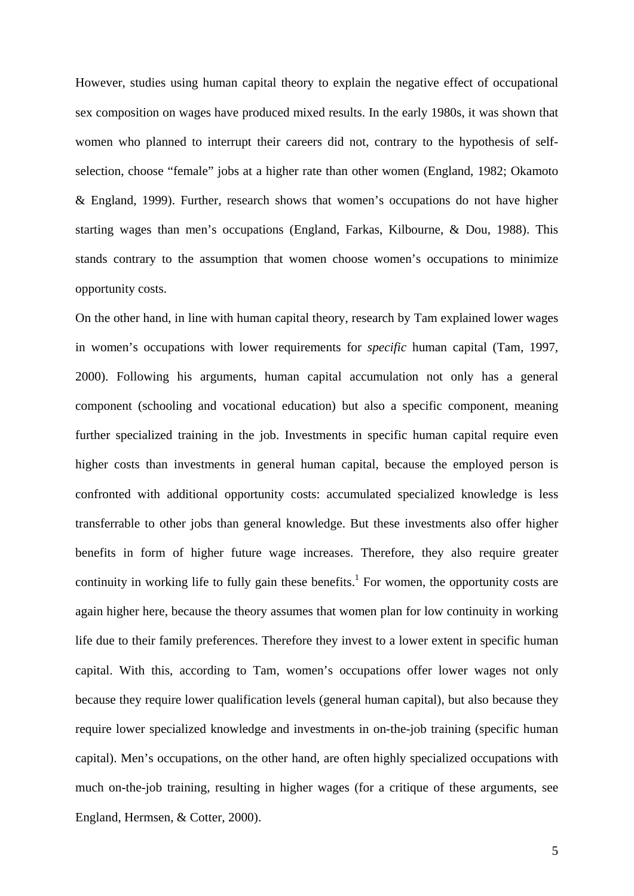However, studies using human capital theory to explain the negative effect of occupational sex composition on wages have produced mixed results. In the early 1980s, it was shown that women who planned to interrupt their careers did not, contrary to the hypothesis of selfselection, choose "female" jobs at a higher rate than other women (England, 1982; Okamoto & England, 1999). Further, research shows that women's occupations do not have higher starting wages than men's occupations (England, Farkas, Kilbourne, & Dou, 1988). This stands contrary to the assumption that women choose women's occupations to minimize opportunity costs.

On the other hand, in line with human capital theory, research by Tam explained lower wages in women's occupations with lower requirements for *specific* human capital (Tam, 1997, 2000). Following his arguments, human capital accumulation not only has a general component (schooling and vocational education) but also a specific component, meaning further specialized training in the job. Investments in specific human capital require even higher costs than investments in general human capital, because the employed person is confronted with additional opportunity costs: accumulated specialized knowledge is less transferrable to other jobs than general knowledge. But these investments also offer higher benefits in form of higher future wage increases. Therefore, they also require greater continuity in working life to fully gain these benefits.<sup>1</sup> For women, the opportunity costs are again higher here, because the theory assumes that women plan for low continuity in working life due to their family preferences. Therefore they invest to a lower extent in specific human capital. With this, according to Tam, women's occupations offer lower wages not only because they require lower qualification levels (general human capital), but also because they require lower specialized knowledge and investments in on-the-job training (specific human capital). Men's occupations, on the other hand, are often highly specialized occupations with much on-the-job training, resulting in higher wages (for a critique of these arguments, see England, Hermsen, & Cotter, 2000).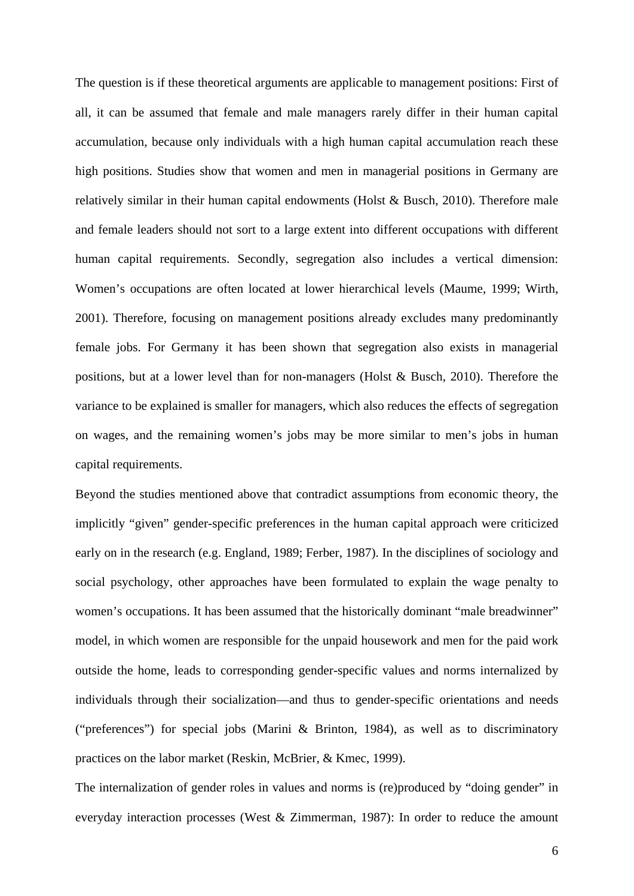The question is if these theoretical arguments are applicable to management positions: First of all, it can be assumed that female and male managers rarely differ in their human capital accumulation, because only individuals with a high human capital accumulation reach these high positions. Studies show that women and men in managerial positions in Germany are relatively similar in their human capital endowments (Holst & Busch, 2010). Therefore male and female leaders should not sort to a large extent into different occupations with different human capital requirements. Secondly, segregation also includes a vertical dimension: Women's occupations are often located at lower hierarchical levels (Maume, 1999; Wirth, 2001). Therefore, focusing on management positions already excludes many predominantly female jobs. For Germany it has been shown that segregation also exists in managerial positions, but at a lower level than for non-managers (Holst & Busch, 2010). Therefore the variance to be explained is smaller for managers, which also reduces the effects of segregation on wages, and the remaining women's jobs may be more similar to men's jobs in human capital requirements.

Beyond the studies mentioned above that contradict assumptions from economic theory, the implicitly "given" gender-specific preferences in the human capital approach were criticized early on in the research (e.g. England, 1989; Ferber, 1987). In the disciplines of sociology and social psychology, other approaches have been formulated to explain the wage penalty to women's occupations. It has been assumed that the historically dominant "male breadwinner" model, in which women are responsible for the unpaid housework and men for the paid work outside the home, leads to corresponding gender-specific values and norms internalized by individuals through their socialization—and thus to gender-specific orientations and needs ("preferences") for special jobs (Marini & Brinton, 1984), as well as to discriminatory practices on the labor market (Reskin, McBrier, & Kmec, 1999).

The internalization of gender roles in values and norms is (re)produced by "doing gender" in everyday interaction processes (West & Zimmerman, 1987): In order to reduce the amount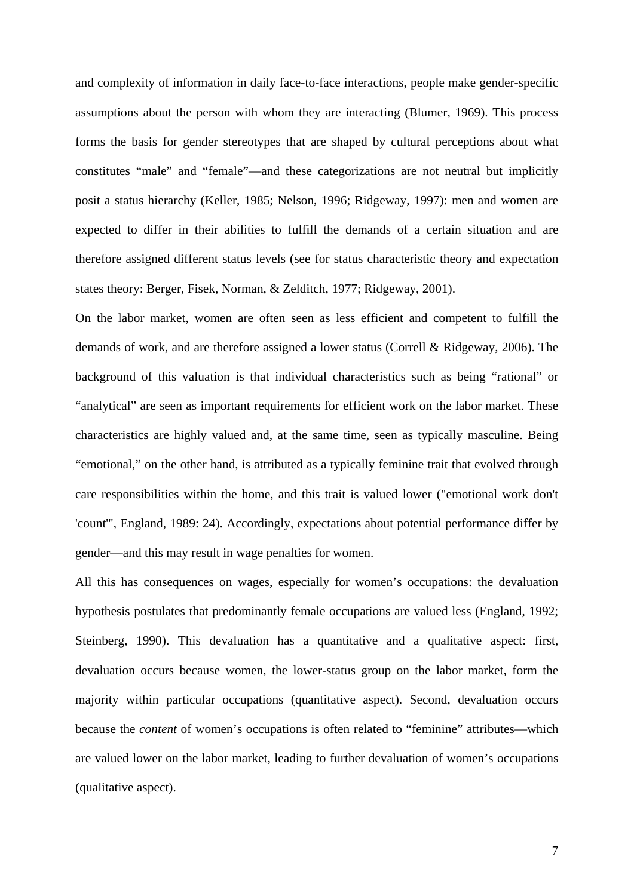and complexity of information in daily face-to-face interactions, people make gender-specific assumptions about the person with whom they are interacting (Blumer, 1969). This process forms the basis for gender stereotypes that are shaped by cultural perceptions about what constitutes "male" and "female"—and these categorizations are not neutral but implicitly posit a status hierarchy (Keller, 1985; Nelson, 1996; Ridgeway, 1997): men and women are expected to differ in their abilities to fulfill the demands of a certain situation and are therefore assigned different status levels (see for status characteristic theory and expectation states theory: Berger, Fisek, Norman, & Zelditch, 1977; Ridgeway, 2001).

On the labor market, women are often seen as less efficient and competent to fulfill the demands of work, and are therefore assigned a lower status (Correll & Ridgeway, 2006). The background of this valuation is that individual characteristics such as being "rational" or "analytical" are seen as important requirements for efficient work on the labor market. These characteristics are highly valued and, at the same time, seen as typically masculine. Being "emotional," on the other hand, is attributed as a typically feminine trait that evolved through care responsibilities within the home, and this trait is valued lower ("emotional work don't 'count'", England, 1989: 24). Accordingly, expectations about potential performance differ by gender—and this may result in wage penalties for women.

All this has consequences on wages, especially for women's occupations: the devaluation hypothesis postulates that predominantly female occupations are valued less (England, 1992; Steinberg, 1990). This devaluation has a quantitative and a qualitative aspect: first, devaluation occurs because women, the lower-status group on the labor market, form the majority within particular occupations (quantitative aspect). Second, devaluation occurs because the *content* of women's occupations is often related to "feminine" attributes—which are valued lower on the labor market, leading to further devaluation of women's occupations (qualitative aspect).

7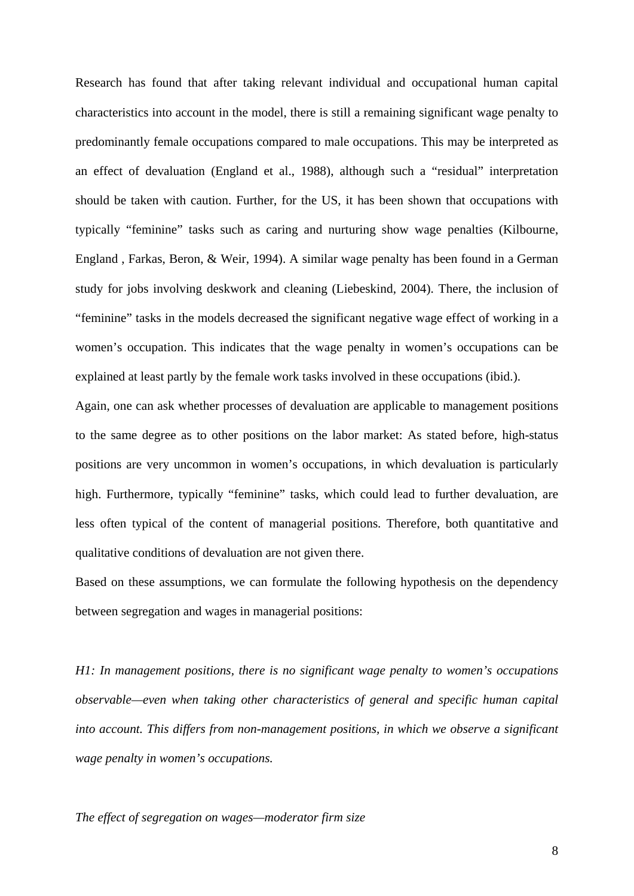Research has found that after taking relevant individual and occupational human capital characteristics into account in the model, there is still a remaining significant wage penalty to predominantly female occupations compared to male occupations. This may be interpreted as an effect of devaluation (England et al., 1988), although such a "residual" interpretation should be taken with caution. Further, for the US, it has been shown that occupations with typically "feminine" tasks such as caring and nurturing show wage penalties (Kilbourne, England , Farkas, Beron, & Weir, 1994). A similar wage penalty has been found in a German study for jobs involving deskwork and cleaning (Liebeskind, 2004). There, the inclusion of "feminine" tasks in the models decreased the significant negative wage effect of working in a women's occupation. This indicates that the wage penalty in women's occupations can be explained at least partly by the female work tasks involved in these occupations (ibid.).

Again, one can ask whether processes of devaluation are applicable to management positions to the same degree as to other positions on the labor market: As stated before, high-status positions are very uncommon in women's occupations, in which devaluation is particularly high. Furthermore, typically "feminine" tasks, which could lead to further devaluation, are less often typical of the content of managerial positions. Therefore, both quantitative and qualitative conditions of devaluation are not given there.

Based on these assumptions, we can formulate the following hypothesis on the dependency between segregation and wages in managerial positions:

*H1: In management positions, there is no significant wage penalty to women's occupations observable—even when taking other characteristics of general and specific human capital into account. This differs from non-management positions, in which we observe a significant wage penalty in women's occupations.* 

*The effect of segregation on wages—moderator firm size*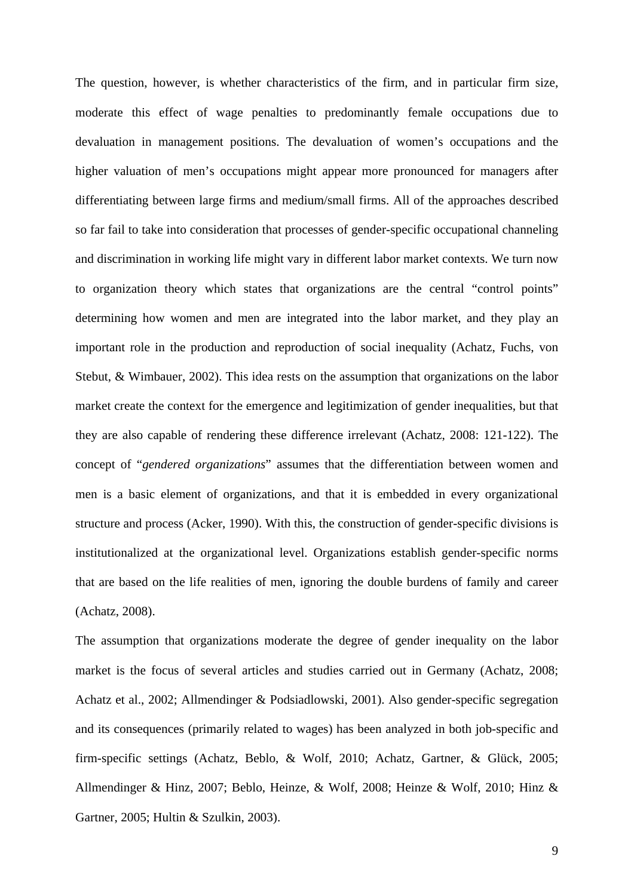The question, however, is whether characteristics of the firm, and in particular firm size, moderate this effect of wage penalties to predominantly female occupations due to devaluation in management positions. The devaluation of women's occupations and the higher valuation of men's occupations might appear more pronounced for managers after differentiating between large firms and medium/small firms. All of the approaches described so far fail to take into consideration that processes of gender-specific occupational channeling and discrimination in working life might vary in different labor market contexts. We turn now to organization theory which states that organizations are the central "control points" determining how women and men are integrated into the labor market, and they play an important role in the production and reproduction of social inequality (Achatz, Fuchs, von Stebut, & Wimbauer, 2002). This idea rests on the assumption that organizations on the labor market create the context for the emergence and legitimization of gender inequalities, but that they are also capable of rendering these difference irrelevant (Achatz, 2008: 121-122). The concept of "*gendered organizations*" assumes that the differentiation between women and men is a basic element of organizations, and that it is embedded in every organizational structure and process (Acker, 1990). With this, the construction of gender-specific divisions is institutionalized at the organizational level. Organizations establish gender-specific norms that are based on the life realities of men, ignoring the double burdens of family and career (Achatz, 2008).

The assumption that organizations moderate the degree of gender inequality on the labor market is the focus of several articles and studies carried out in Germany (Achatz, 2008; Achatz et al., 2002; Allmendinger & Podsiadlowski, 2001). Also gender-specific segregation and its consequences (primarily related to wages) has been analyzed in both job-specific and firm-specific settings (Achatz, Beblo, & Wolf, 2010; Achatz, Gartner, & Glück, 2005; Allmendinger & Hinz, 2007; Beblo, Heinze, & Wolf, 2008; Heinze & Wolf, 2010; Hinz & Gartner, 2005; Hultin & Szulkin, 2003).

9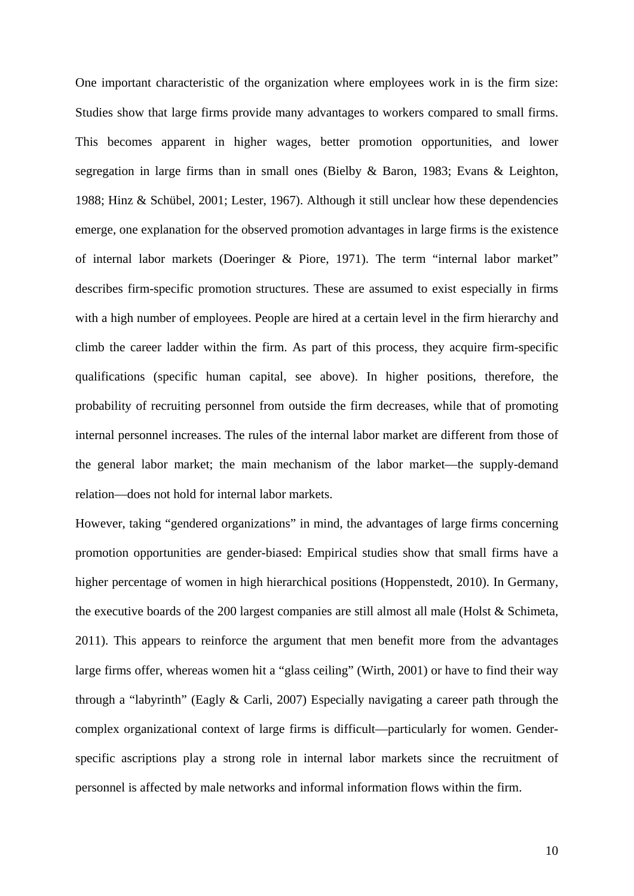One important characteristic of the organization where employees work in is the firm size: Studies show that large firms provide many advantages to workers compared to small firms. This becomes apparent in higher wages, better promotion opportunities, and lower segregation in large firms than in small ones (Bielby & Baron, 1983; Evans & Leighton, 1988; Hinz & Schübel, 2001; Lester, 1967). Although it still unclear how these dependencies emerge, one explanation for the observed promotion advantages in large firms is the existence of internal labor markets (Doeringer & Piore, 1971). The term "internal labor market" describes firm-specific promotion structures. These are assumed to exist especially in firms with a high number of employees. People are hired at a certain level in the firm hierarchy and climb the career ladder within the firm. As part of this process, they acquire firm-specific qualifications (specific human capital, see above). In higher positions, therefore, the probability of recruiting personnel from outside the firm decreases, while that of promoting internal personnel increases. The rules of the internal labor market are different from those of the general labor market; the main mechanism of the labor market—the supply-demand relation—does not hold for internal labor markets.

However, taking "gendered organizations" in mind, the advantages of large firms concerning promotion opportunities are gender-biased: Empirical studies show that small firms have a higher percentage of women in high hierarchical positions (Hoppenstedt, 2010). In Germany, the executive boards of the 200 largest companies are still almost all male (Holst & Schimeta, 2011). This appears to reinforce the argument that men benefit more from the advantages large firms offer, whereas women hit a "glass ceiling" (Wirth, 2001) or have to find their way through a "labyrinth" (Eagly & Carli, 2007) Especially navigating a career path through the complex organizational context of large firms is difficult—particularly for women. Genderspecific ascriptions play a strong role in internal labor markets since the recruitment of personnel is affected by male networks and informal information flows within the firm.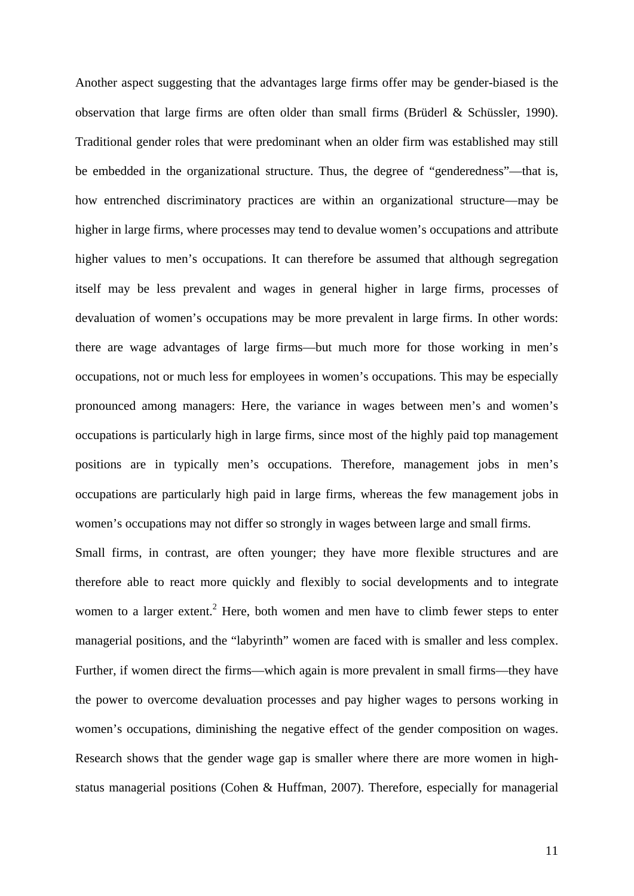Another aspect suggesting that the advantages large firms offer may be gender-biased is the observation that large firms are often older than small firms (Brüderl & Schüssler, 1990). Traditional gender roles that were predominant when an older firm was established may still be embedded in the organizational structure. Thus, the degree of "genderedness"—that is, how entrenched discriminatory practices are within an organizational structure—may be higher in large firms, where processes may tend to devalue women's occupations and attribute higher values to men's occupations. It can therefore be assumed that although segregation itself may be less prevalent and wages in general higher in large firms, processes of devaluation of women's occupations may be more prevalent in large firms. In other words: there are wage advantages of large firms—but much more for those working in men's occupations, not or much less for employees in women's occupations. This may be especially pronounced among managers: Here, the variance in wages between men's and women's occupations is particularly high in large firms, since most of the highly paid top management positions are in typically men's occupations. Therefore, management jobs in men's occupations are particularly high paid in large firms, whereas the few management jobs in women's occupations may not differ so strongly in wages between large and small firms.

Small firms, in contrast, are often younger; they have more flexible structures and are therefore able to react more quickly and flexibly to social developments and to integrate women to a larger extent.<sup>2</sup> Here, both women and men have to climb fewer steps to enter managerial positions, and the "labyrinth" women are faced with is smaller and less complex. Further, if women direct the firms—which again is more prevalent in small firms—they have the power to overcome devaluation processes and pay higher wages to persons working in women's occupations, diminishing the negative effect of the gender composition on wages. Research shows that the gender wage gap is smaller where there are more women in highstatus managerial positions (Cohen & Huffman, 2007). Therefore, especially for managerial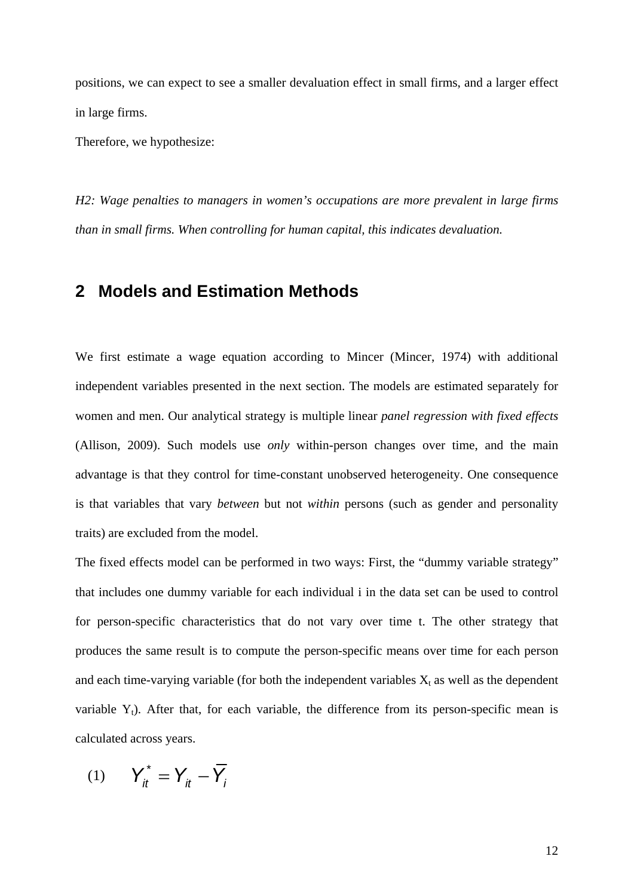positions, we can expect to see a smaller devaluation effect in small firms, and a larger effect in large firms.

Therefore, we hypothesize:

*H2: Wage penalties to managers in women's occupations are more prevalent in large firms than in small firms. When controlling for human capital, this indicates devaluation.* 

## **2 Models and Estimation Methods**

We first estimate a wage equation according to Mincer (Mincer, 1974) with additional independent variables presented in the next section. The models are estimated separately for women and men. Our analytical strategy is multiple linear *panel regression with fixed effects* (Allison, 2009). Such models use *only* within-person changes over time, and the main advantage is that they control for time-constant unobserved heterogeneity. One consequence is that variables that vary *between* but not *within* persons (such as gender and personality traits) are excluded from the model.

The fixed effects model can be performed in two ways: First, the "dummy variable strategy" that includes one dummy variable for each individual i in the data set can be used to control for person-specific characteristics that do not vary over time t. The other strategy that produces the same result is to compute the person-specific means over time for each person and each time-varying variable (for both the independent variables  $X_t$  as well as the dependent variable  $Y_t$ ). After that, for each variable, the difference from its person-specific mean is calculated across years.

$$
(1) \qquad \Upsilon_{it}^* = \Upsilon_{it} - \overline{\Upsilon}_{i}
$$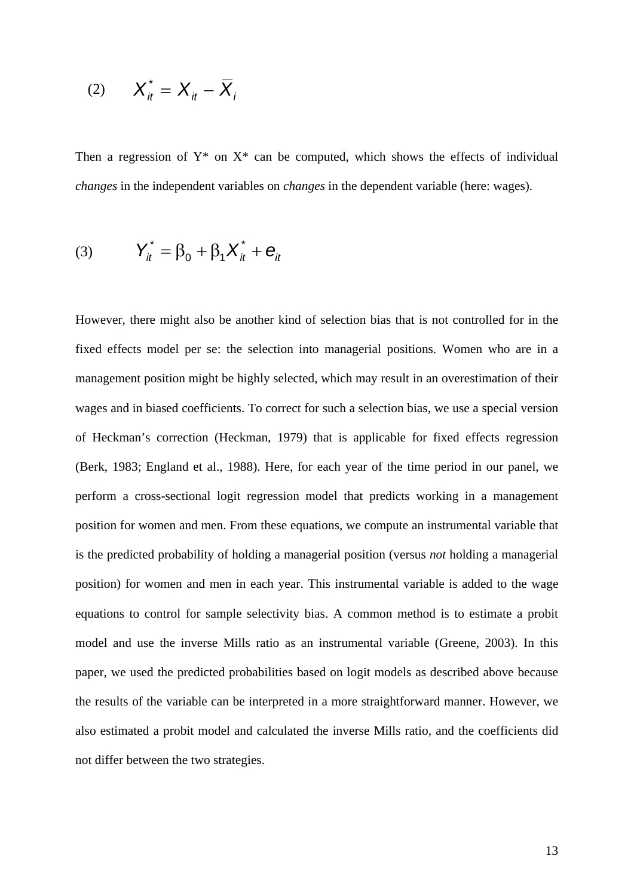$$
(2) \qquad X_{it}^* = X_{it} - \overline{X}_{it}
$$

Then a regression of  $Y^*$  on  $X^*$  can be computed, which shows the effects of individual *changes* in the independent variables on *changes* in the dependent variable (here: wages).

(3) 
$$
Y_{it}^* = \beta_0 + \beta_1 X_{it}^* + e_{it}
$$

However, there might also be another kind of selection bias that is not controlled for in the fixed effects model per se: the selection into managerial positions. Women who are in a management position might be highly selected, which may result in an overestimation of their wages and in biased coefficients. To correct for such a selection bias, we use a special version of Heckman's correction (Heckman, 1979) that is applicable for fixed effects regression (Berk, 1983; England et al., 1988). Here, for each year of the time period in our panel, we perform a cross-sectional logit regression model that predicts working in a management position for women and men. From these equations, we compute an instrumental variable that is the predicted probability of holding a managerial position (versus *not* holding a managerial position) for women and men in each year. This instrumental variable is added to the wage equations to control for sample selectivity bias. A common method is to estimate a probit model and use the inverse Mills ratio as an instrumental variable (Greene, 2003). In this paper, we used the predicted probabilities based on logit models as described above because the results of the variable can be interpreted in a more straightforward manner. However, we also estimated a probit model and calculated the inverse Mills ratio, and the coefficients did not differ between the two strategies.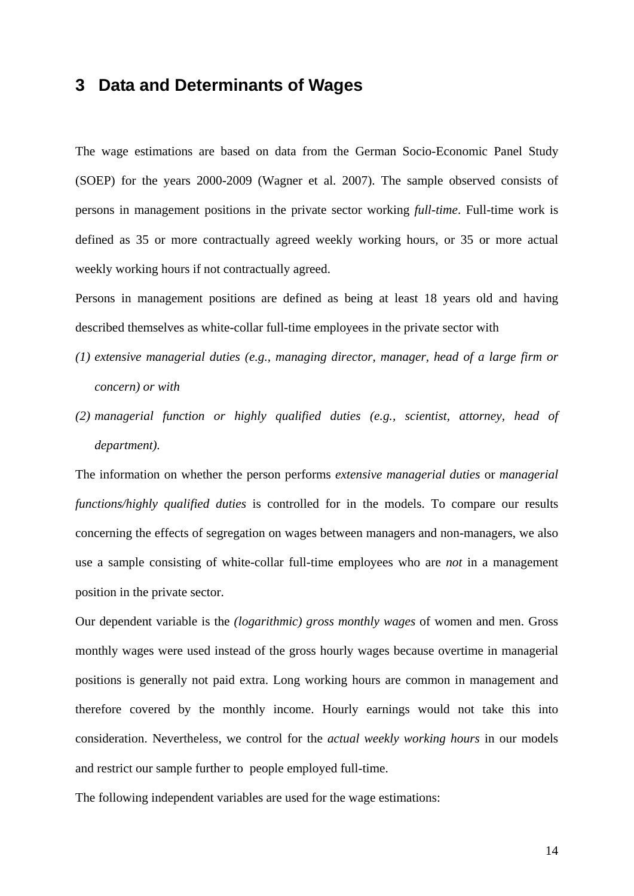# **3 Data and Determinants of Wages**

The wage estimations are based on data from the German Socio-Economic Panel Study (SOEP) for the years 2000-2009 (Wagner et al. 2007). The sample observed consists of persons in management positions in the private sector working *full-time*. Full-time work is defined as 35 or more contractually agreed weekly working hours, or 35 or more actual weekly working hours if not contractually agreed.

Persons in management positions are defined as being at least 18 years old and having described themselves as white-collar full-time employees in the private sector with

- *(1) extensive managerial duties (e.g., managing director, manager, head of a large firm or concern) or with*
- *(2) managerial function or highly qualified duties (e.g., scientist, attorney, head of department).*

The information on whether the person performs *extensive managerial duties* or *managerial functions/highly qualified duties* is controlled for in the models. To compare our results concerning the effects of segregation on wages between managers and non-managers, we also use a sample consisting of white-collar full-time employees who are *not* in a management position in the private sector.

Our dependent variable is the *(logarithmic) gross monthly wages* of women and men. Gross monthly wages were used instead of the gross hourly wages because overtime in managerial positions is generally not paid extra. Long working hours are common in management and therefore covered by the monthly income. Hourly earnings would not take this into consideration. Nevertheless, we control for the *actual weekly working hours* in our models and restrict our sample further to people employed full-time.

The following independent variables are used for the wage estimations: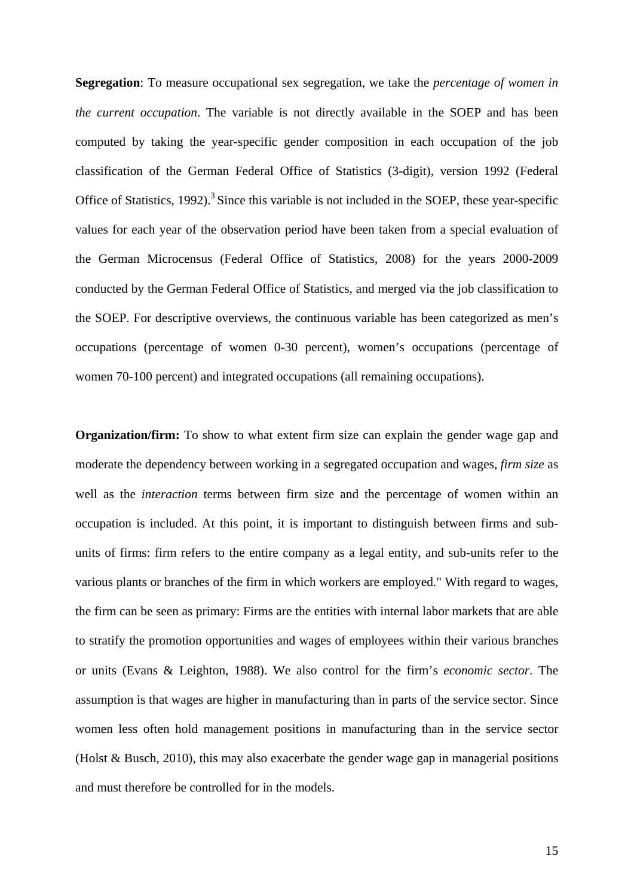**Segregation**: To measure occupational sex segregation, we take the *percentage of women in the current occupation*. The variable is not directly available in the SOEP and has been computed by taking the year-specific gender composition in each occupation of the job classification of the German Federal Office of Statistics (3-digit), version 1992 (Federal Office of Statistics, 1992).<sup>3</sup> Since this variable is not included in the SOEP, these year-specific values for each year of the observation period have been taken from a special evaluation of the German Microcensus (Federal Office of Statistics, 2008) for the years 2000-2009 conducted by the German Federal Office of Statistics, and merged via the job classification to the SOEP. For descriptive overviews, the continuous variable has been categorized as men's occupations (percentage of women 0-30 percent), women's occupations (percentage of women 70-100 percent) and integrated occupations (all remaining occupations).

**Organization/firm:** To show to what extent firm size can explain the gender wage gap and moderate the dependency between working in a segregated occupation and wages, *firm size* as well as the *interaction* terms between firm size and the percentage of women within an occupation is included. At this point, it is important to distinguish between firms and subunits of firms: firm refers to the entire company as a legal entity, and sub-units refer to the various plants or branches of the firm in which workers are employed." With regard to wages, the firm can be seen as primary: Firms are the entities with internal labor markets that are able to stratify the promotion opportunities and wages of employees within their various branches or units (Evans & Leighton, 1988). We also control for the firm's *economic sector*. The assumption is that wages are higher in manufacturing than in parts of the service sector. Since women less often hold management positions in manufacturing than in the service sector (Holst & Busch, 2010), this may also exacerbate the gender wage gap in managerial positions and must therefore be controlled for in the models.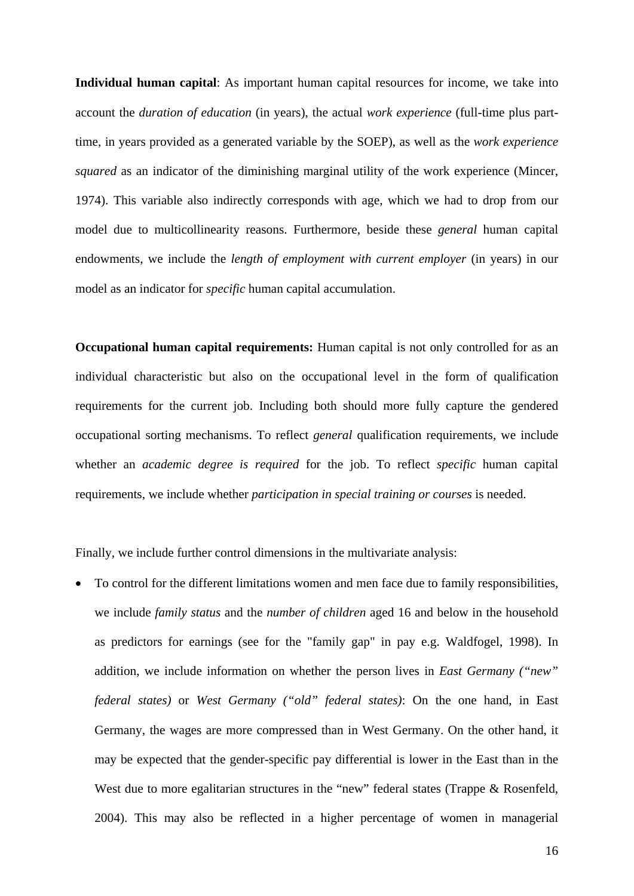**Individual human capital**: As important human capital resources for income, we take into account the *duration of education* (in years), the actual *work experience* (full-time plus parttime, in years provided as a generated variable by the SOEP), as well as the *work experience squared* as an indicator of the diminishing marginal utility of the work experience (Mincer, 1974). This variable also indirectly corresponds with age, which we had to drop from our model due to multicollinearity reasons. Furthermore, beside these *general* human capital endowments, we include the *length of employment with current employer* (in years) in our model as an indicator for *specific* human capital accumulation.

**Occupational human capital requirements:** Human capital is not only controlled for as an individual characteristic but also on the occupational level in the form of qualification requirements for the current job. Including both should more fully capture the gendered occupational sorting mechanisms. To reflect *general* qualification requirements, we include whether an *academic degree is required* for the job. To reflect *specific* human capital requirements, we include whether *participation in special training or courses* is needed.

Finally, we include further control dimensions in the multivariate analysis:

 To control for the different limitations women and men face due to family responsibilities, we include *family status* and the *number of children* aged 16 and below in the household as predictors for earnings (see for the "family gap" in pay e.g. Waldfogel, 1998). In addition, we include information on whether the person lives in *East Germany ("new" federal states)* or *West Germany ("old" federal states)*: On the one hand, in East Germany, the wages are more compressed than in West Germany. On the other hand, it may be expected that the gender-specific pay differential is lower in the East than in the West due to more egalitarian structures in the "new" federal states (Trappe & Rosenfeld, 2004). This may also be reflected in a higher percentage of women in managerial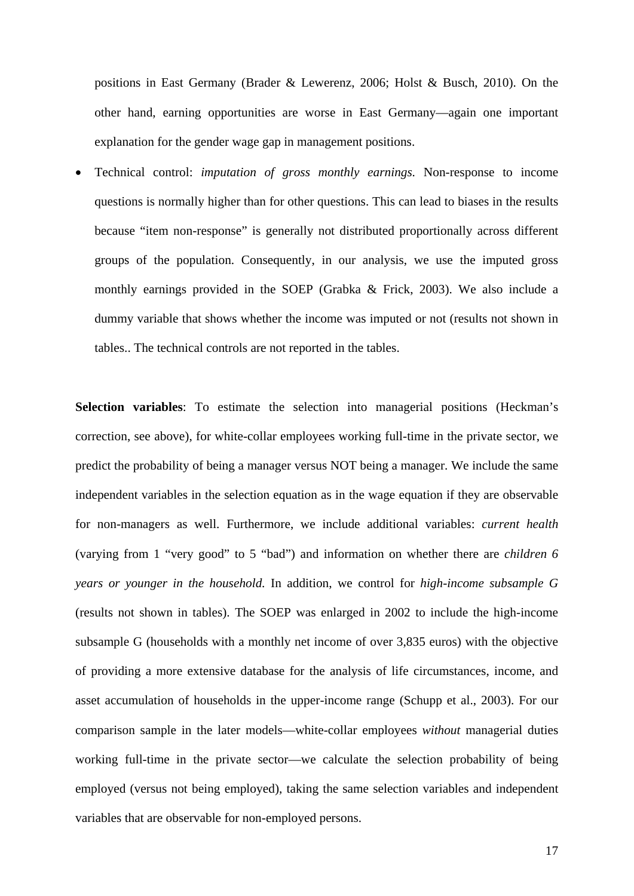positions in East Germany (Brader & Lewerenz, 2006; Holst & Busch, 2010). On the other hand, earning opportunities are worse in East Germany—again one important explanation for the gender wage gap in management positions.

 Technical control: *imputation of gross monthly earnings.* Non-response to income questions is normally higher than for other questions. This can lead to biases in the results because "item non-response" is generally not distributed proportionally across different groups of the population. Consequently, in our analysis, we use the imputed gross monthly earnings provided in the SOEP (Grabka & Frick, 2003). We also include a dummy variable that shows whether the income was imputed or not (results not shown in tables.. The technical controls are not reported in the tables.

**Selection variables**: To estimate the selection into managerial positions (Heckman's correction, see above), for white-collar employees working full-time in the private sector, we predict the probability of being a manager versus NOT being a manager. We include the same independent variables in the selection equation as in the wage equation if they are observable for non-managers as well. Furthermore, we include additional variables: *current health* (varying from 1 "very good" to 5 "bad") and information on whether there are *children 6 years or younger in the household.* In addition, we control for *high-income subsample G*  (results not shown in tables). The SOEP was enlarged in 2002 to include the high-income subsample G (households with a monthly net income of over 3,835 euros) with the objective of providing a more extensive database for the analysis of life circumstances, income, and asset accumulation of households in the upper-income range (Schupp et al., 2003). For our comparison sample in the later models—white-collar employees *without* managerial duties working full-time in the private sector—we calculate the selection probability of being employed (versus not being employed), taking the same selection variables and independent variables that are observable for non-employed persons.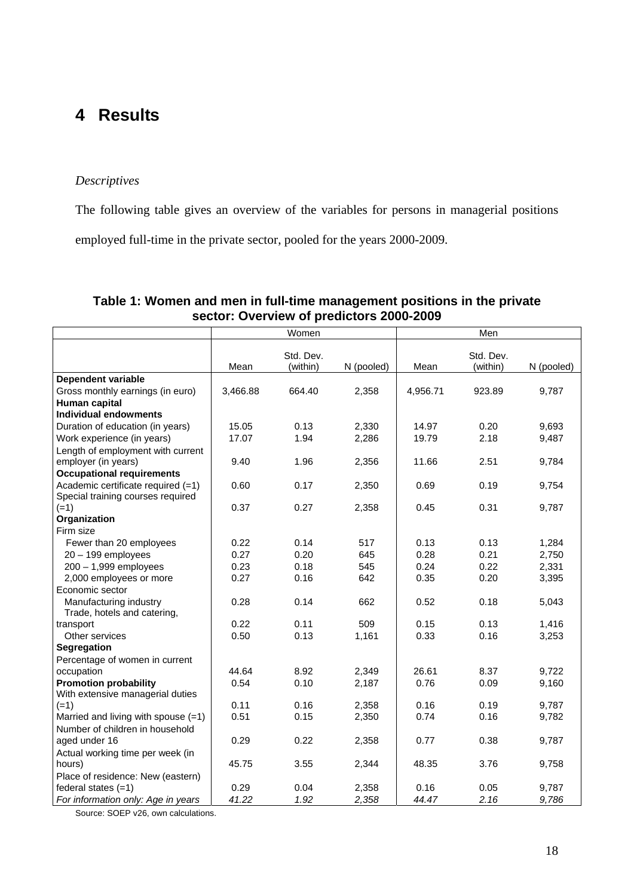# **4 Results**

#### *Descriptives*

The following table gives an overview of the variables for persons in managerial positions

employed full-time in the private sector, pooled for the years 2000-2009.

| Women<br>Men                          |          |           |            |          |           |            |
|---------------------------------------|----------|-----------|------------|----------|-----------|------------|
|                                       |          |           |            |          |           |            |
|                                       |          | Std. Dev. |            |          | Std. Dev. |            |
|                                       | Mean     | (within)  | N (pooled) | Mean     | (within)  | N (pooled) |
| <b>Dependent variable</b>             |          |           |            |          |           |            |
| Gross monthly earnings (in euro)      | 3,466.88 | 664.40    | 2,358      | 4,956.71 | 923.89    | 9,787      |
| Human capital                         |          |           |            |          |           |            |
| <b>Individual endowments</b>          |          |           |            |          |           |            |
| Duration of education (in years)      | 15.05    | 0.13      | 2,330      | 14.97    | 0.20      | 9,693      |
| Work experience (in years)            | 17.07    | 1.94      | 2,286      | 19.79    | 2.18      | 9,487      |
| Length of employment with current     |          |           |            |          |           |            |
| employer (in years)                   | 9.40     | 1.96      | 2,356      | 11.66    | 2.51      | 9,784      |
| <b>Occupational requirements</b>      |          |           |            |          |           |            |
| Academic certificate required (=1)    | 0.60     | 0.17      | 2,350      | 0.69     | 0.19      | 9,754      |
| Special training courses required     |          |           |            |          |           |            |
| $(=1)$                                | 0.37     | 0.27      | 2,358      | 0.45     | 0.31      | 9,787      |
| Organization                          |          |           |            |          |           |            |
| Firm size                             |          |           |            |          |           |            |
| Fewer than 20 employees               | 0.22     | 0.14      | 517        | 0.13     | 0.13      | 1,284      |
| $20 - 199$ employees                  | 0.27     | 0.20      | 645        | 0.28     | 0.21      | 2,750      |
| $200 - 1,999$ employees               | 0.23     | 0.18      | 545        | 0.24     | 0.22      | 2,331      |
| 2,000 employees or more               | 0.27     | 0.16      | 642        | 0.35     | 0.20      | 3,395      |
| Economic sector                       |          |           |            |          |           |            |
| Manufacturing industry                | 0.28     | 0.14      | 662        | 0.52     | 0.18      | 5,043      |
| Trade, hotels and catering,           |          |           |            |          |           |            |
| transport                             | 0.22     | 0.11      | 509        | 0.15     | 0.13      | 1,416      |
| Other services                        | 0.50     | 0.13      | 1,161      | 0.33     | 0.16      | 3,253      |
| Segregation                           |          |           |            |          |           |            |
| Percentage of women in current        |          |           |            |          |           |            |
| occupation                            | 44.64    | 8.92      | 2,349      | 26.61    | 8.37      | 9,722      |
| <b>Promotion probability</b>          | 0.54     | 0.10      | 2,187      | 0.76     | 0.09      | 9,160      |
| With extensive managerial duties      |          |           |            |          |           |            |
| $(=1)$                                | 0.11     | 0.16      | 2,358      | 0.16     | 0.19      | 9,787      |
| Married and living with spouse $(=1)$ | 0.51     | 0.15      | 2,350      | 0.74     | 0.16      | 9,782      |
| Number of children in household       |          |           |            |          |           |            |
| aged under 16                         | 0.29     | 0.22      | 2,358      | 0.77     | 0.38      | 9,787      |
| Actual working time per week (in      |          |           |            |          |           |            |
| hours)                                | 45.75    | 3.55      | 2,344      | 48.35    | 3.76      | 9,758      |
| Place of residence: New (eastern)     |          |           |            |          |           |            |
| federal states $(=1)$                 | 0.29     | 0.04      | 2,358      | 0.16     | 0.05      | 9,787      |
| For information only: Age in years    | 41.22    | 1.92      | 2,358      | 44.47    | 2.16      | 9,786      |

#### **Table 1: Women and men in full-time management positions in the private sector: Overview of predictors 2000-2009**

Source: SOEP v26, own calculations.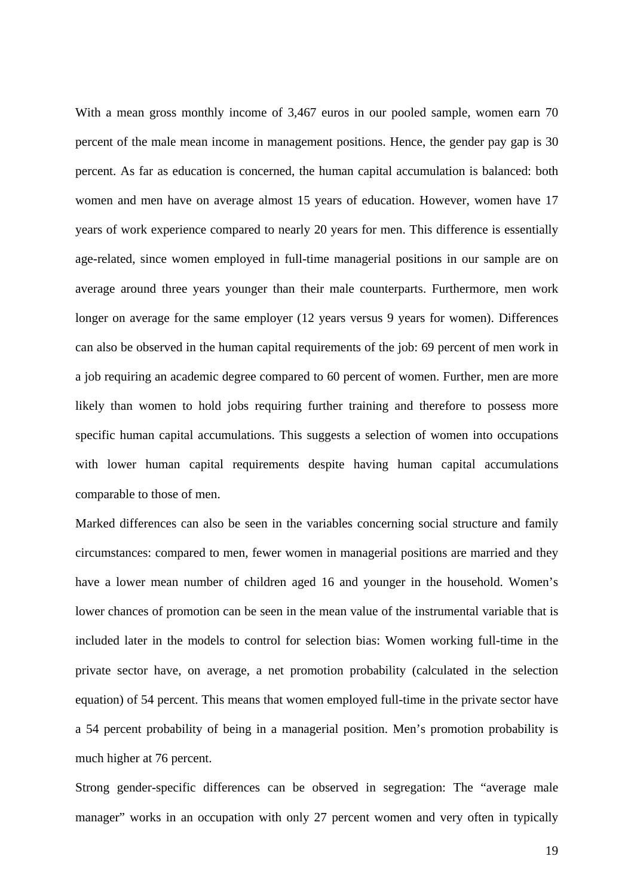With a mean gross monthly income of 3,467 euros in our pooled sample, women earn 70 percent of the male mean income in management positions. Hence, the gender pay gap is 30 percent. As far as education is concerned, the human capital accumulation is balanced: both women and men have on average almost 15 years of education. However, women have 17 years of work experience compared to nearly 20 years for men. This difference is essentially age-related, since women employed in full-time managerial positions in our sample are on average around three years younger than their male counterparts. Furthermore, men work longer on average for the same employer (12 years versus 9 years for women). Differences can also be observed in the human capital requirements of the job: 69 percent of men work in a job requiring an academic degree compared to 60 percent of women. Further, men are more likely than women to hold jobs requiring further training and therefore to possess more specific human capital accumulations. This suggests a selection of women into occupations with lower human capital requirements despite having human capital accumulations comparable to those of men.

Marked differences can also be seen in the variables concerning social structure and family circumstances: compared to men, fewer women in managerial positions are married and they have a lower mean number of children aged 16 and younger in the household. Women's lower chances of promotion can be seen in the mean value of the instrumental variable that is included later in the models to control for selection bias: Women working full-time in the private sector have, on average, a net promotion probability (calculated in the selection equation) of 54 percent. This means that women employed full-time in the private sector have a 54 percent probability of being in a managerial position. Men's promotion probability is much higher at 76 percent.

Strong gender-specific differences can be observed in segregation: The "average male manager" works in an occupation with only 27 percent women and very often in typically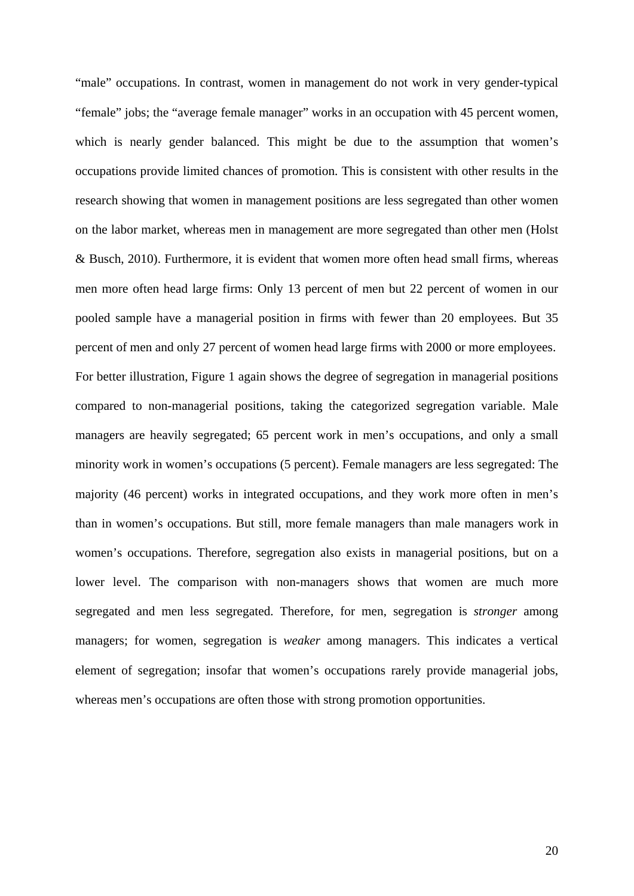"male" occupations. In contrast, women in management do not work in very gender-typical "female" jobs; the "average female manager" works in an occupation with 45 percent women, which is nearly gender balanced. This might be due to the assumption that women's occupations provide limited chances of promotion. This is consistent with other results in the research showing that women in management positions are less segregated than other women on the labor market, whereas men in management are more segregated than other men (Holst & Busch, 2010). Furthermore, it is evident that women more often head small firms, whereas men more often head large firms: Only 13 percent of men but 22 percent of women in our pooled sample have a managerial position in firms with fewer than 20 employees. But 35 percent of men and only 27 percent of women head large firms with 2000 or more employees. For better illustration, Figure 1 again shows the degree of segregation in managerial positions compared to non-managerial positions, taking the categorized segregation variable. Male managers are heavily segregated; 65 percent work in men's occupations, and only a small minority work in women's occupations (5 percent). Female managers are less segregated: The majority (46 percent) works in integrated occupations, and they work more often in men's than in women's occupations. But still, more female managers than male managers work in women's occupations. Therefore, segregation also exists in managerial positions, but on a lower level. The comparison with non-managers shows that women are much more segregated and men less segregated. Therefore, for men, segregation is *stronger* among managers; for women, segregation is *weaker* among managers. This indicates a vertical element of segregation; insofar that women's occupations rarely provide managerial jobs, whereas men's occupations are often those with strong promotion opportunities.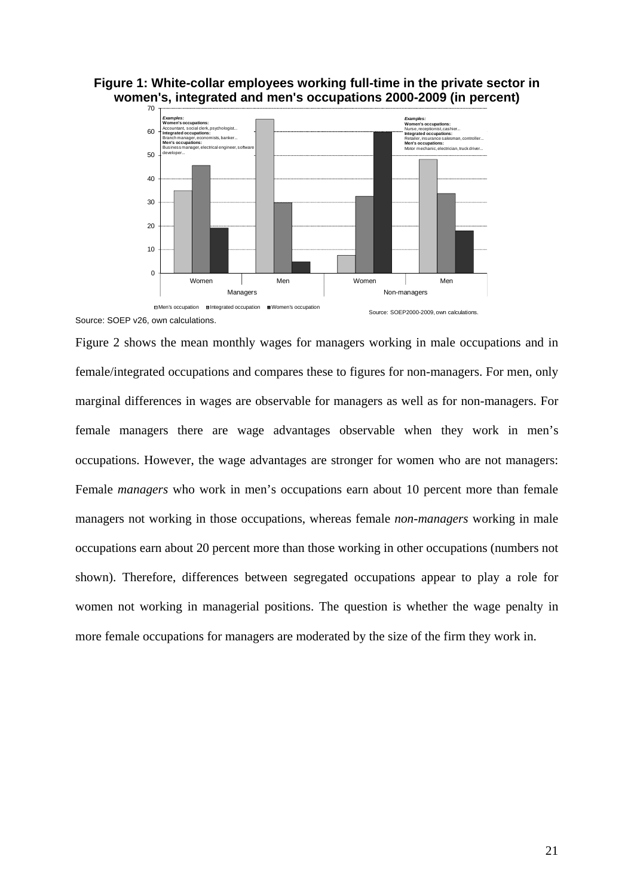



Source: SOEP v26, own calculations.

Figure 2 shows the mean monthly wages for managers working in male occupations and in female/integrated occupations and compares these to figures for non-managers. For men, only marginal differences in wages are observable for managers as well as for non-managers. For female managers there are wage advantages observable when they work in men's occupations. However, the wage advantages are stronger for women who are not managers: Female *managers* who work in men's occupations earn about 10 percent more than female managers not working in those occupations, whereas female *non-managers* working in male occupations earn about 20 percent more than those working in other occupations (numbers not shown). Therefore, differences between segregated occupations appear to play a role for women not working in managerial positions. The question is whether the wage penalty in more female occupations for managers are moderated by the size of the firm they work in.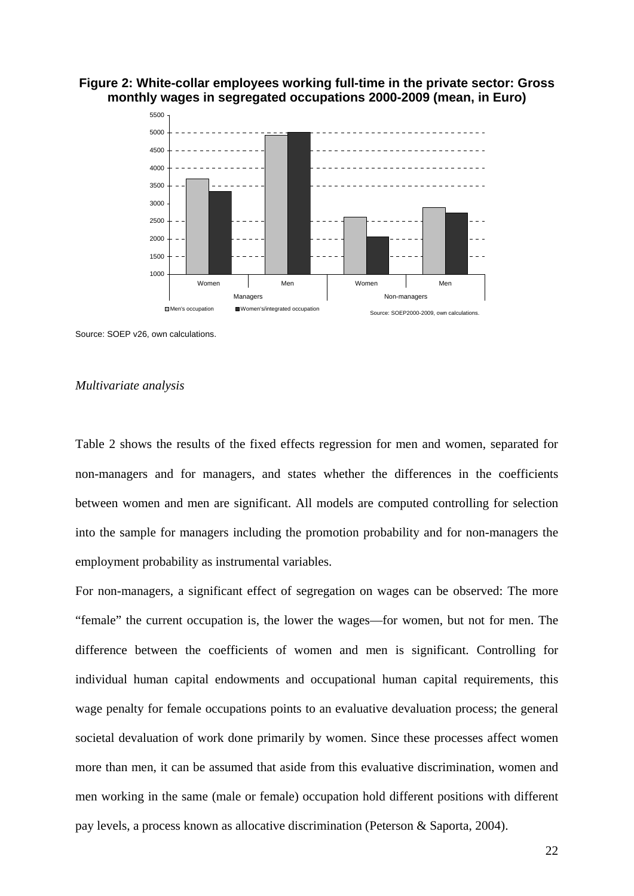

#### **Figure 2: White-collar employees working full-time in the private sector: Gross monthly wages in segregated occupations 2000-2009 (mean, in Euro)**

Source: SOEP v26, own calculations.

#### *Multivariate analysis*

Table 2 shows the results of the fixed effects regression for men and women, separated for non-managers and for managers, and states whether the differences in the coefficients between women and men are significant. All models are computed controlling for selection into the sample for managers including the promotion probability and for non-managers the employment probability as instrumental variables.

For non-managers, a significant effect of segregation on wages can be observed: The more "female" the current occupation is, the lower the wages—for women, but not for men. The difference between the coefficients of women and men is significant. Controlling for individual human capital endowments and occupational human capital requirements, this wage penalty for female occupations points to an evaluative devaluation process; the general societal devaluation of work done primarily by women. Since these processes affect women more than men, it can be assumed that aside from this evaluative discrimination, women and men working in the same (male or female) occupation hold different positions with different pay levels, a process known as allocative discrimination (Peterson & Saporta, 2004).

22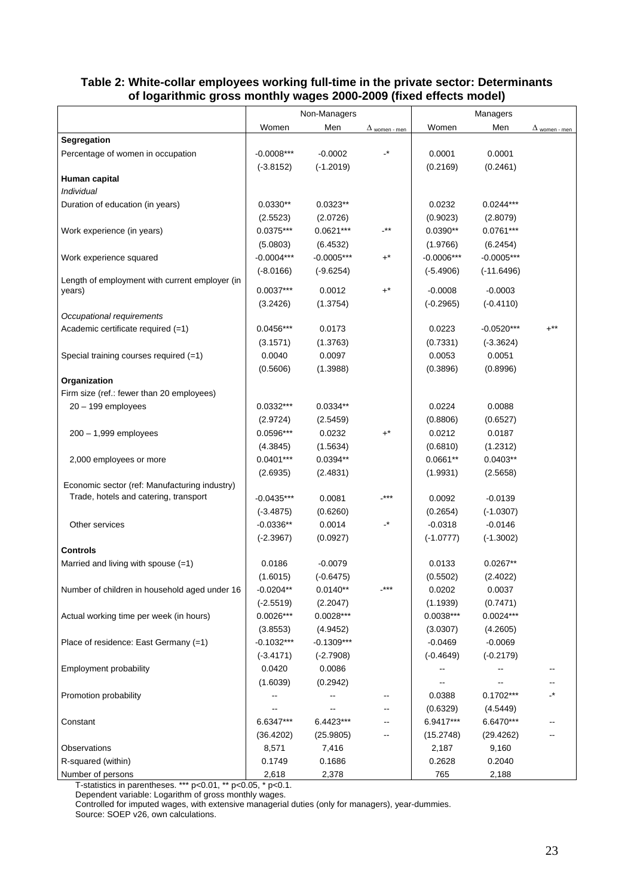|                                                | Non-Managers |              |                                  |              |                 |                      |
|------------------------------------------------|--------------|--------------|----------------------------------|--------------|-----------------|----------------------|
|                                                | Women        | Men          | $\Delta$ women - men             | Women        | Managers<br>Men | $\Delta$ women - men |
| Segregation                                    |              |              |                                  |              |                 |                      |
| Percentage of women in occupation              | $-0.0008***$ | $-0.0002$    | $\overline{\phantom{a}}^*$       | 0.0001       | 0.0001          |                      |
|                                                | $(-3.8152)$  | $(-1.2019)$  |                                  | (0.2169)     | (0.2461)        |                      |
| Human capital                                  |              |              |                                  |              |                 |                      |
| Individual                                     |              |              |                                  |              |                 |                      |
| Duration of education (in years)               | $0.0330**$   | $0.0323**$   |                                  | 0.0232       | $0.0244***$     |                      |
|                                                | (2.5523)     | (2.0726)     |                                  | (0.9023)     | (2.8079)        |                      |
| Work experience (in years)                     | $0.0375***$  | $0.0621***$  | $$ **                            | $0.0390**$   | $0.0761***$     |                      |
|                                                | (5.0803)     | (6.4532)     |                                  | (1.9766)     | (6.2454)        |                      |
| Work experience squared                        | $-0.0004***$ | $-0.0005***$ | $+^{\star}$                      | $-0.0006***$ | $-0.0005***$    |                      |
|                                                | $(-8.0166)$  | $(-9.6254)$  |                                  | $(-5.4906)$  | $(-11.6496)$    |                      |
| Length of employment with current employer (in |              |              |                                  |              |                 |                      |
| years)                                         | $0.0037***$  | 0.0012       | $+^{\star}$                      | $-0.0008$    | $-0.0003$       |                      |
|                                                | (3.2426)     | (1.3754)     |                                  | $(-0.2965)$  | $(-0.4110)$     |                      |
| Occupational requirements                      |              |              |                                  |              |                 |                      |
| Academic certificate required (=1)             | 0.0456***    | 0.0173       |                                  | 0.0223       | $-0.0520***$    | $+***$               |
|                                                | (3.1571)     | (1.3763)     |                                  | (0.7331)     | $(-3.3624)$     |                      |
| Special training courses required (=1)         | 0.0040       | 0.0097       |                                  | 0.0053       | 0.0051          |                      |
|                                                | (0.5606)     | (1.3988)     |                                  | (0.3896)     | (0.8996)        |                      |
| Organization                                   |              |              |                                  |              |                 |                      |
| Firm size (ref.: fewer than 20 employees)      |              |              |                                  |              |                 |                      |
| $20 - 199$ employees                           | $0.0332***$  | $0.0334**$   |                                  | 0.0224       | 0.0088          |                      |
|                                                | (2.9724)     | (2.5459)     |                                  | (0.8806)     | (0.6527)        |                      |
| $200 - 1,999$ employees                        | 0.0596***    | 0.0232       | $+^*$                            | 0.0212       | 0.0187          |                      |
|                                                | (4.3845)     | (1.5634)     |                                  | (0.6810)     | (1.2312)        |                      |
| 2,000 employees or more                        | $0.0401***$  | $0.0394**$   |                                  | $0.0661**$   | $0.0403**$      |                      |
|                                                | (2.6935)     | (2.4831)     |                                  | (1.9931)     | (2.5658)        |                      |
| Economic sector (ref: Manufacturing industry)  |              |              |                                  |              |                 |                      |
| Trade, hotels and catering, transport          | $-0.0435***$ | 0.0081       | -***                             | 0.0092       | $-0.0139$       |                      |
|                                                | $(-3.4875)$  | (0.6260)     |                                  | (0.2654)     | $(-1.0307)$     |                      |
| Other services                                 | $-0.0336**$  | 0.0014       | $\overline{\phantom{a}}^{\star}$ | $-0.0318$    | $-0.0146$       |                      |
|                                                | $(-2.3967)$  | (0.0927)     |                                  | $(-1.0777)$  | $(-1.3002)$     |                      |
| <b>Controls</b>                                |              |              |                                  |              |                 |                      |
| Married and living with spouse $(=1)$          | 0.0186       | $-0.0079$    |                                  | 0.0133       | $0.0267**$      |                      |
|                                                | (1.6015)     | $(-0.6475)$  |                                  | (0.5502)     | (2.4022)        |                      |
| Number of children in household aged under 16  | $-0.0204**$  | $0.0140**$   | $***$                            | 0.0202       | 0.0037          |                      |
|                                                | $(-2.5519)$  | (2.2047)     |                                  | (1.1939)     | (0.7471)        |                      |
| Actual working time per week (in hours)        | $0.0026***$  | $0.0028***$  |                                  | $0.0038***$  | $0.0024***$     |                      |
|                                                | (3.8553)     | (4.9452)     |                                  | (3.0307)     | (4.2605)        |                      |
| Place of residence: East Germany (=1)          | $-0.1032***$ | $-0.1309***$ |                                  | $-0.0469$    | $-0.0069$       |                      |
|                                                | $(-3.4171)$  | $(-2.7908)$  |                                  | $(-0.4649)$  | $(-0.2179)$     |                      |
| Employment probability                         | 0.0420       | 0.0086       |                                  | --           |                 |                      |
|                                                | (1.6039)     | (0.2942)     |                                  | --           |                 | --                   |
| Promotion probability                          |              | --           | --                               | 0.0388       | $0.1702***$     | $\cdot^{\star}$      |
|                                                |              |              | ⊷                                | (0.6329)     | (4.5449)        |                      |
| Constant                                       | 6.6347***    | 6.4423***    | --                               | 6.9417***    | 6.6470***       |                      |
|                                                | (36.4202)    | (25.9805)    | $\overline{\phantom{a}}$         | (15.2748)    | (29.4262)       |                      |
| Observations                                   | 8,571        | 7,416        |                                  | 2,187        | 9,160           |                      |
| R-squared (within)                             | 0.1749       | 0.1686       |                                  | 0.2628       | 0.2040          |                      |
| Number of persons                              | 2,618        | 2,378        |                                  | 765          | 2,188           |                      |

#### **Table 2: White-collar employees working full-time in the private sector: Determinants of logarithmic gross monthly wages 2000-2009 (fixed effects model)**

T-statistics in parentheses. \*\*\* p<0.01, \*\* p<0.05, \* p<0.1.

Dependent variable: Logarithm of gross monthly wages.

Controlled for imputed wages, with extensive managerial duties (only for managers), year-dummies.

Source: SOEP v26, own calculations.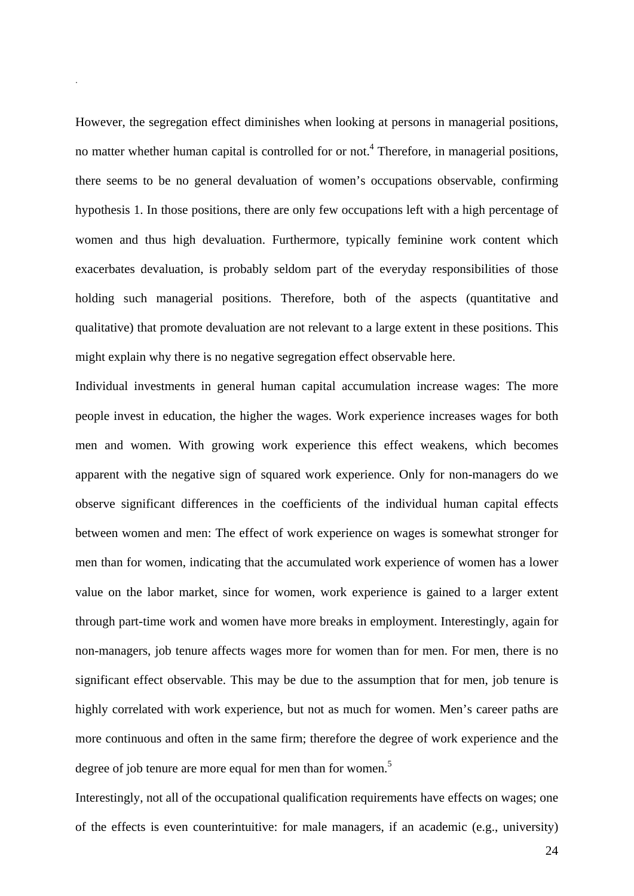However, the segregation effect diminishes when looking at persons in managerial positions, no matter whether human capital is controlled for or not.<sup>4</sup> Therefore, in managerial positions, there seems to be no general devaluation of women's occupations observable, confirming hypothesis 1. In those positions, there are only few occupations left with a high percentage of women and thus high devaluation. Furthermore, typically feminine work content which exacerbates devaluation, is probably seldom part of the everyday responsibilities of those holding such managerial positions. Therefore, both of the aspects (quantitative and qualitative) that promote devaluation are not relevant to a large extent in these positions. This might explain why there is no negative segregation effect observable here.

.

Individual investments in general human capital accumulation increase wages: The more people invest in education, the higher the wages. Work experience increases wages for both men and women. With growing work experience this effect weakens, which becomes apparent with the negative sign of squared work experience. Only for non-managers do we observe significant differences in the coefficients of the individual human capital effects between women and men: The effect of work experience on wages is somewhat stronger for men than for women, indicating that the accumulated work experience of women has a lower value on the labor market, since for women, work experience is gained to a larger extent through part-time work and women have more breaks in employment. Interestingly, again for non-managers, job tenure affects wages more for women than for men. For men, there is no significant effect observable. This may be due to the assumption that for men, job tenure is highly correlated with work experience, but not as much for women. Men's career paths are more continuous and often in the same firm; therefore the degree of work experience and the degree of job tenure are more equal for men than for women.<sup>5</sup>

Interestingly, not all of the occupational qualification requirements have effects on wages; one of the effects is even counterintuitive: for male managers, if an academic (e.g., university)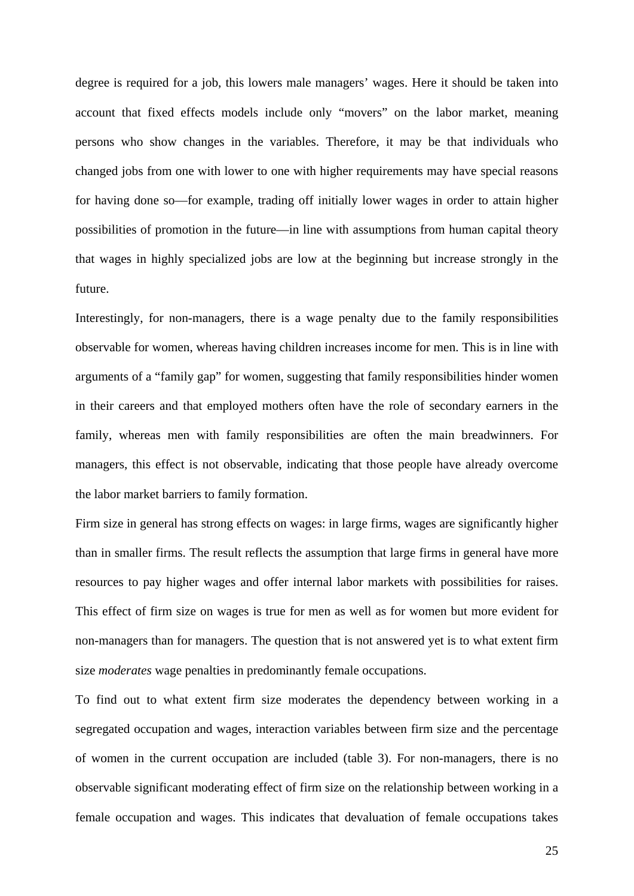degree is required for a job, this lowers male managers' wages. Here it should be taken into account that fixed effects models include only "movers" on the labor market, meaning persons who show changes in the variables. Therefore, it may be that individuals who changed jobs from one with lower to one with higher requirements may have special reasons for having done so—for example, trading off initially lower wages in order to attain higher possibilities of promotion in the future—in line with assumptions from human capital theory that wages in highly specialized jobs are low at the beginning but increase strongly in the future.

Interestingly, for non-managers, there is a wage penalty due to the family responsibilities observable for women, whereas having children increases income for men. This is in line with arguments of a "family gap" for women, suggesting that family responsibilities hinder women in their careers and that employed mothers often have the role of secondary earners in the family, whereas men with family responsibilities are often the main breadwinners. For managers, this effect is not observable, indicating that those people have already overcome the labor market barriers to family formation.

Firm size in general has strong effects on wages: in large firms, wages are significantly higher than in smaller firms. The result reflects the assumption that large firms in general have more resources to pay higher wages and offer internal labor markets with possibilities for raises. This effect of firm size on wages is true for men as well as for women but more evident for non-managers than for managers. The question that is not answered yet is to what extent firm size *moderates* wage penalties in predominantly female occupations.

To find out to what extent firm size moderates the dependency between working in a segregated occupation and wages, interaction variables between firm size and the percentage of women in the current occupation are included (table 3). For non-managers, there is no observable significant moderating effect of firm size on the relationship between working in a female occupation and wages. This indicates that devaluation of female occupations takes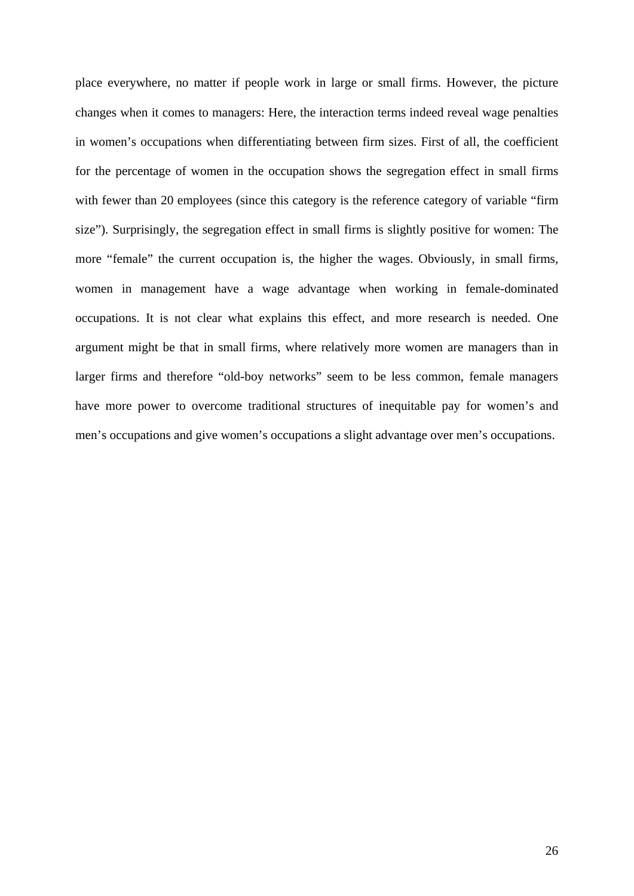place everywhere, no matter if people work in large or small firms. However, the picture changes when it comes to managers: Here, the interaction terms indeed reveal wage penalties in women's occupations when differentiating between firm sizes. First of all, the coefficient for the percentage of women in the occupation shows the segregation effect in small firms with fewer than 20 employees (since this category is the reference category of variable "firm" size"). Surprisingly, the segregation effect in small firms is slightly positive for women: The more "female" the current occupation is, the higher the wages. Obviously, in small firms, women in management have a wage advantage when working in female-dominated occupations. It is not clear what explains this effect, and more research is needed. One argument might be that in small firms, where relatively more women are managers than in larger firms and therefore "old-boy networks" seem to be less common, female managers have more power to overcome traditional structures of inequitable pay for women's and men's occupations and give women's occupations a slight advantage over men's occupations.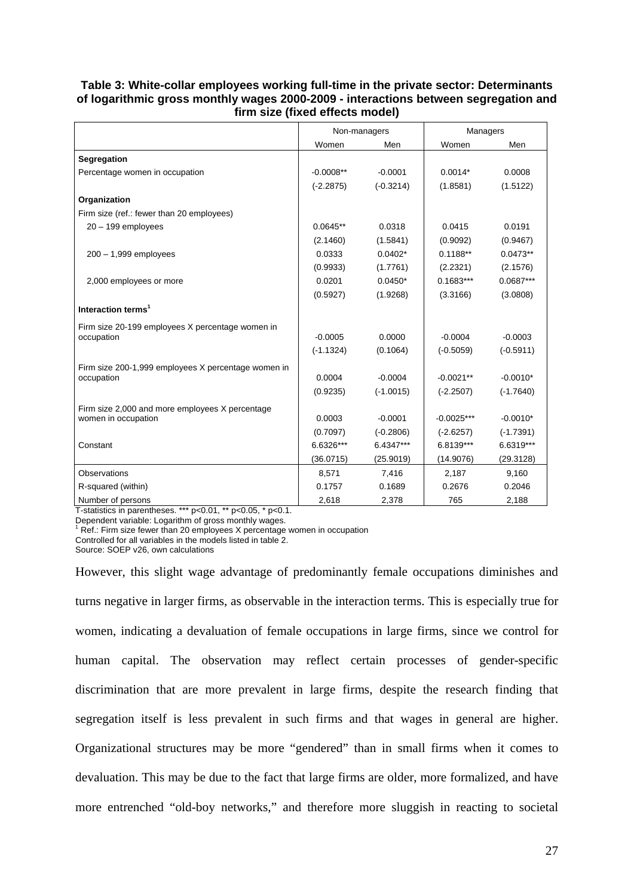#### **Table 3: White-collar employees working full-time in the private sector: Determinants of logarithmic gross monthly wages 2000-2009 - interactions between segregation and firm size (fixed effects model)**

|                                                     | Non-managers |             | Managers     |             |
|-----------------------------------------------------|--------------|-------------|--------------|-------------|
|                                                     | Women        | Men         | Women        | Men         |
| Segregation                                         |              |             |              |             |
| Percentage women in occupation                      | $-0.0008**$  | $-0.0001$   | $0.0014*$    | 0.0008      |
|                                                     | $(-2.2875)$  | $(-0.3214)$ | (1.8581)     | (1.5122)    |
| Organization                                        |              |             |              |             |
| Firm size (ref.: fewer than 20 employees)           |              |             |              |             |
| $20 - 199$ employees                                | $0.0645**$   | 0.0318      | 0.0415       | 0.0191      |
|                                                     | (2.1460)     | (1.5841)    | (0.9092)     | (0.9467)    |
| $200 - 1,999$ employees                             | 0.0333       | $0.0402*$   | $0.1188**$   | $0.0473**$  |
|                                                     | (0.9933)     | (1.7761)    | (2.2321)     | (2.1576)    |
| 2,000 employees or more                             | 0.0201       | $0.0450*$   | $0.1683***$  | 0.0687***   |
|                                                     | (0.5927)     | (1.9268)    | (3.3166)     | (3.0808)    |
| Interaction terms <sup>1</sup>                      |              |             |              |             |
| Firm size 20-199 employees X percentage women in    |              |             |              |             |
| occupation                                          | $-0.0005$    | 0.0000      | $-0.0004$    | $-0.0003$   |
|                                                     | $(-1.1324)$  | (0.1064)    | $(-0.5059)$  | $(-0.5911)$ |
| Firm size 200-1,999 employees X percentage women in |              |             |              |             |
| occupation                                          | 0.0004       | $-0.0004$   | $-0.0021**$  | $-0.0010*$  |
|                                                     | (0.9235)     | $(-1.0015)$ | $(-2.2507)$  | $(-1.7640)$ |
| Firm size 2,000 and more employees X percentage     |              |             |              |             |
| women in occupation                                 | 0.0003       | $-0.0001$   | $-0.0025***$ | $-0.0010*$  |
|                                                     | (0.7097)     | $(-0.2806)$ | $(-2.6257)$  | $(-1.7391)$ |
| Constant                                            | 6.6326***    | 6.4347***   | 6.8139***    | 6.6319***   |
|                                                     | (36.0715)    | (25.9019)   | (14.9076)    | (29.3128)   |
| Observations                                        | 8,571        | 7,416       | 2,187        | 9,160       |
| R-squared (within)                                  | 0.1757       | 0.1689      | 0.2676       | 0.2046      |
| Number of persons                                   | 2,618        | 2,378       | 765          | 2,188       |

T-statistics in parentheses. \*\*\* p<0.01, \*\* p<0.05, \* p<0.1.

Dependent variable: Logarithm of gross monthly wages.

<sup>1</sup> Ref.: Firm size fewer than 20 employees X percentage women in occupation

Controlled for all variables in the models listed in table 2.

Source: SOEP v26, own calculations

However, this slight wage advantage of predominantly female occupations diminishes and turns negative in larger firms, as observable in the interaction terms. This is especially true for women, indicating a devaluation of female occupations in large firms, since we control for human capital. The observation may reflect certain processes of gender-specific discrimination that are more prevalent in large firms, despite the research finding that segregation itself is less prevalent in such firms and that wages in general are higher. Organizational structures may be more "gendered" than in small firms when it comes to devaluation. This may be due to the fact that large firms are older, more formalized, and have more entrenched "old-boy networks," and therefore more sluggish in reacting to societal

27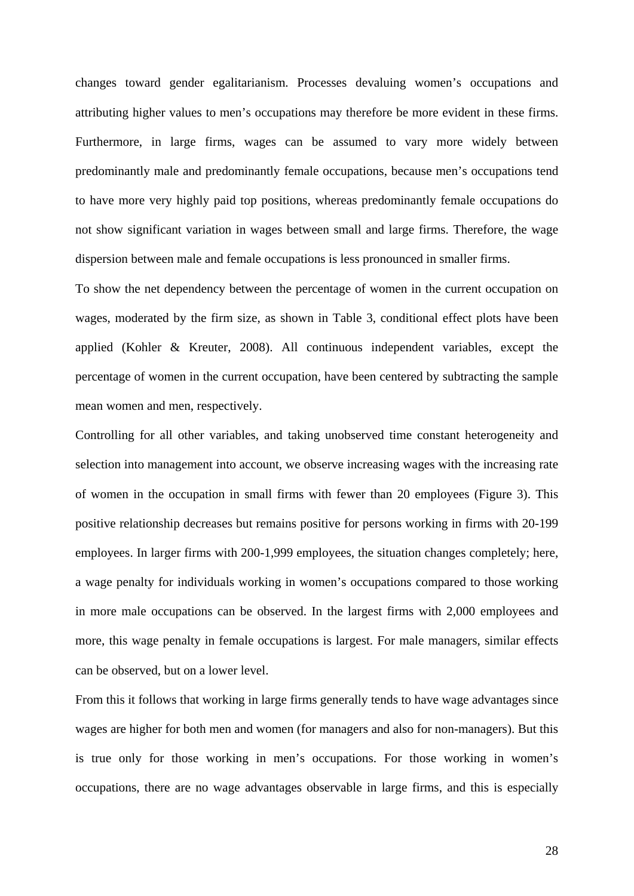changes toward gender egalitarianism. Processes devaluing women's occupations and attributing higher values to men's occupations may therefore be more evident in these firms. Furthermore, in large firms, wages can be assumed to vary more widely between predominantly male and predominantly female occupations, because men's occupations tend to have more very highly paid top positions, whereas predominantly female occupations do not show significant variation in wages between small and large firms. Therefore, the wage dispersion between male and female occupations is less pronounced in smaller firms.

To show the net dependency between the percentage of women in the current occupation on wages, moderated by the firm size, as shown in Table 3, conditional effect plots have been applied (Kohler & Kreuter, 2008). All continuous independent variables, except the percentage of women in the current occupation, have been centered by subtracting the sample mean women and men, respectively.

Controlling for all other variables, and taking unobserved time constant heterogeneity and selection into management into account, we observe increasing wages with the increasing rate of women in the occupation in small firms with fewer than 20 employees (Figure 3). This positive relationship decreases but remains positive for persons working in firms with 20-199 employees. In larger firms with 200-1,999 employees, the situation changes completely; here, a wage penalty for individuals working in women's occupations compared to those working in more male occupations can be observed. In the largest firms with 2,000 employees and more, this wage penalty in female occupations is largest. For male managers, similar effects can be observed, but on a lower level.

From this it follows that working in large firms generally tends to have wage advantages since wages are higher for both men and women (for managers and also for non-managers). But this is true only for those working in men's occupations. For those working in women's occupations, there are no wage advantages observable in large firms, and this is especially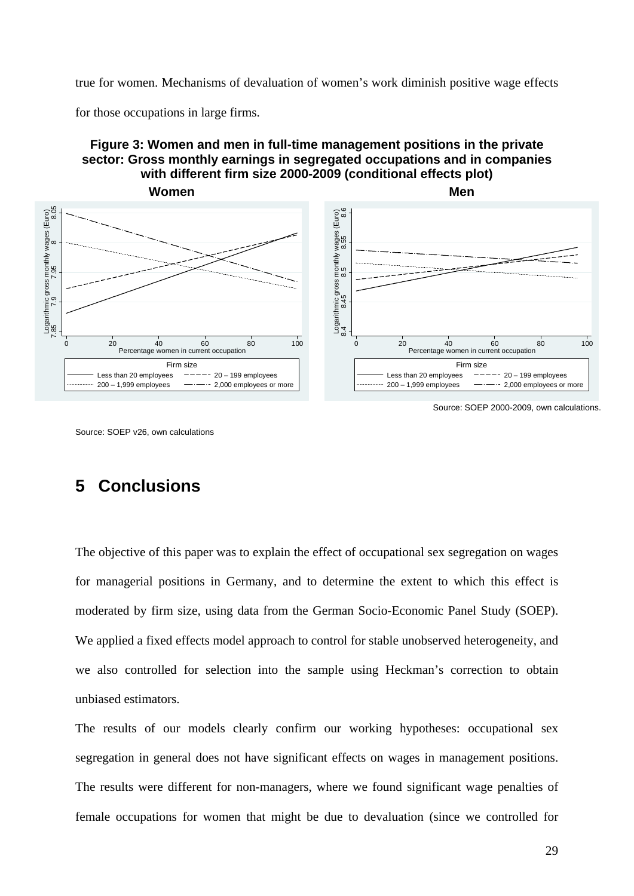true for women. Mechanisms of devaluation of women's work diminish positive wage effects

for those occupations in large firms.

#### **Figure 3: Women and men in full-time management positions in the private sector: Gross monthly earnings in segregated occupations and in companies with different firm size 2000-2009 (conditional effects plot)**



Source: SOEP 2000-2009, own calculations.

# **5 Conclusions**

The objective of this paper was to explain the effect of occupational sex segregation on wages for managerial positions in Germany, and to determine the extent to which this effect is moderated by firm size, using data from the German Socio-Economic Panel Study (SOEP). We applied a fixed effects model approach to control for stable unobserved heterogeneity, and we also controlled for selection into the sample using Heckman's correction to obtain unbiased estimators.

The results of our models clearly confirm our working hypotheses: occupational sex segregation in general does not have significant effects on wages in management positions. The results were different for non-managers, where we found significant wage penalties of female occupations for women that might be due to devaluation (since we controlled for

Source: SOEP v26, own calculations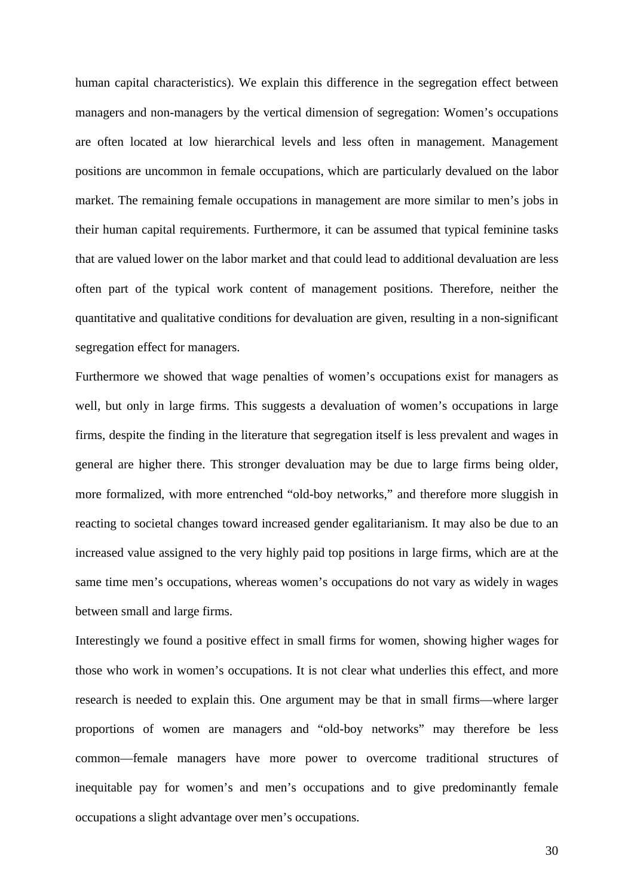human capital characteristics). We explain this difference in the segregation effect between managers and non-managers by the vertical dimension of segregation: Women's occupations are often located at low hierarchical levels and less often in management. Management positions are uncommon in female occupations, which are particularly devalued on the labor market. The remaining female occupations in management are more similar to men's jobs in their human capital requirements. Furthermore, it can be assumed that typical feminine tasks that are valued lower on the labor market and that could lead to additional devaluation are less often part of the typical work content of management positions. Therefore, neither the quantitative and qualitative conditions for devaluation are given, resulting in a non-significant segregation effect for managers.

Furthermore we showed that wage penalties of women's occupations exist for managers as well, but only in large firms. This suggests a devaluation of women's occupations in large firms, despite the finding in the literature that segregation itself is less prevalent and wages in general are higher there. This stronger devaluation may be due to large firms being older, more formalized, with more entrenched "old-boy networks," and therefore more sluggish in reacting to societal changes toward increased gender egalitarianism. It may also be due to an increased value assigned to the very highly paid top positions in large firms, which are at the same time men's occupations, whereas women's occupations do not vary as widely in wages between small and large firms.

Interestingly we found a positive effect in small firms for women, showing higher wages for those who work in women's occupations. It is not clear what underlies this effect, and more research is needed to explain this. One argument may be that in small firms—where larger proportions of women are managers and "old-boy networks" may therefore be less common—female managers have more power to overcome traditional structures of inequitable pay for women's and men's occupations and to give predominantly female occupations a slight advantage over men's occupations.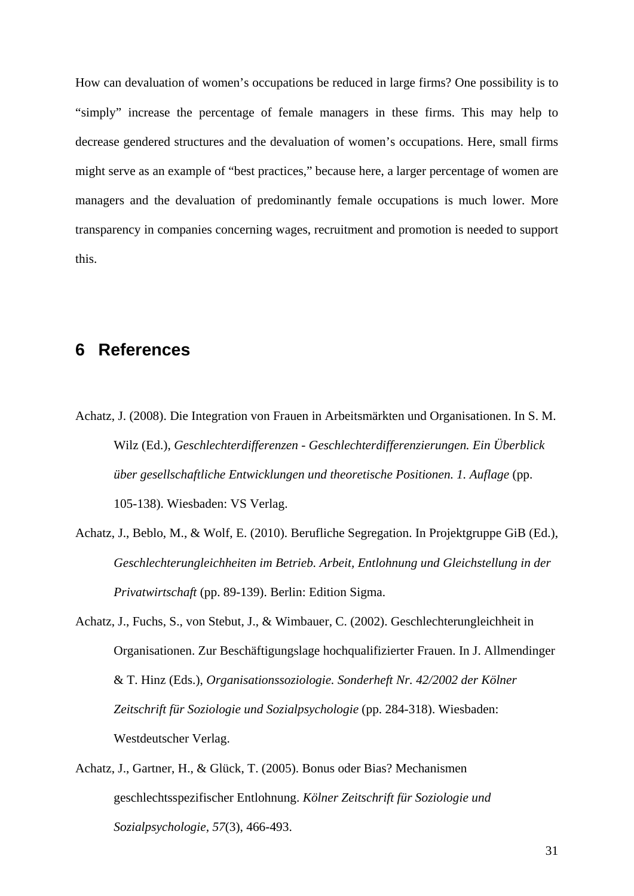How can devaluation of women's occupations be reduced in large firms? One possibility is to "simply" increase the percentage of female managers in these firms. This may help to decrease gendered structures and the devaluation of women's occupations. Here, small firms might serve as an example of "best practices," because here, a larger percentage of women are managers and the devaluation of predominantly female occupations is much lower. More transparency in companies concerning wages, recruitment and promotion is needed to support this.

### **6 References**

- Achatz, J. (2008). Die Integration von Frauen in Arbeitsmärkten und Organisationen. In S. M. Wilz (Ed.), *Geschlechterdifferenzen - Geschlechterdifferenzierungen. Ein Überblick über gesellschaftliche Entwicklungen und theoretische Positionen. 1. Auflage* (pp. 105-138). Wiesbaden: VS Verlag.
- Achatz, J., Beblo, M., & Wolf, E. (2010). Berufliche Segregation. In Projektgruppe GiB (Ed.), *Geschlechterungleichheiten im Betrieb. Arbeit, Entlohnung und Gleichstellung in der Privatwirtschaft* (pp. 89-139). Berlin: Edition Sigma.
- Achatz, J., Fuchs, S., von Stebut, J., & Wimbauer, C. (2002). Geschlechterungleichheit in Organisationen. Zur Beschäftigungslage hochqualifizierter Frauen. In J. Allmendinger & T. Hinz (Eds.), *Organisationssoziologie. Sonderheft Nr. 42/2002 der Kölner Zeitschrift für Soziologie und Sozialpsychologie* (pp. 284-318). Wiesbaden: Westdeutscher Verlag.
- Achatz, J., Gartner, H., & Glück, T. (2005). Bonus oder Bias? Mechanismen geschlechtsspezifischer Entlohnung. *Kölner Zeitschrift für Soziologie und Sozialpsychologie, 57*(3), 466-493.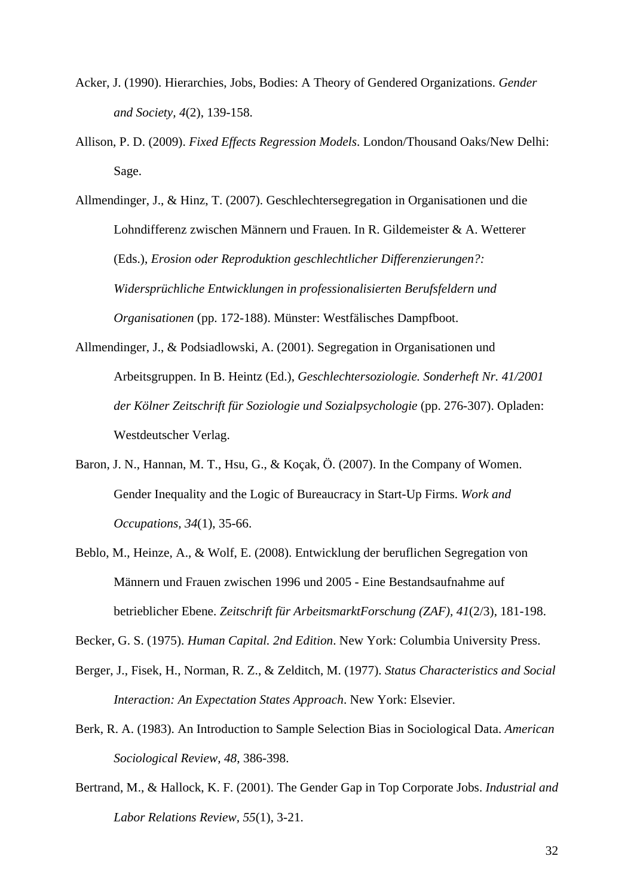- Acker, J. (1990). Hierarchies, Jobs, Bodies: A Theory of Gendered Organizations. *Gender and Society, 4*(2), 139-158.
- Allison, P. D. (2009). *Fixed Effects Regression Models*. London/Thousand Oaks/New Delhi: Sage.
- Allmendinger, J., & Hinz, T. (2007). Geschlechtersegregation in Organisationen und die Lohndifferenz zwischen Männern und Frauen. In R. Gildemeister & A. Wetterer (Eds.), *Erosion oder Reproduktion geschlechtlicher Differenzierungen?: Widersprüchliche Entwicklungen in professionalisierten Berufsfeldern und Organisationen* (pp. 172-188). Münster: Westfälisches Dampfboot.
- Allmendinger, J., & Podsiadlowski, A. (2001). Segregation in Organisationen und Arbeitsgruppen. In B. Heintz (Ed.), *Geschlechtersoziologie. Sonderheft Nr. 41/2001 der Kölner Zeitschrift für Soziologie und Sozialpsychologie* (pp. 276-307). Opladen: Westdeutscher Verlag.
- Baron, J. N., Hannan, M. T., Hsu, G., & Koçak, Ö. (2007). In the Company of Women. Gender Inequality and the Logic of Bureaucracy in Start-Up Firms. *Work and Occupations, 34*(1), 35-66.
- Beblo, M., Heinze, A., & Wolf, E. (2008). Entwicklung der beruflichen Segregation von Männern und Frauen zwischen 1996 und 2005 - Eine Bestandsaufnahme auf betrieblicher Ebene. *Zeitschrift für ArbeitsmarktForschung (ZAF), 41*(2/3), 181-198.

Becker, G. S. (1975). *Human Capital. 2nd Edition*. New York: Columbia University Press.

- Berger, J., Fisek, H., Norman, R. Z., & Zelditch, M. (1977). *Status Characteristics and Social Interaction: An Expectation States Approach*. New York: Elsevier.
- Berk, R. A. (1983). An Introduction to Sample Selection Bias in Sociological Data. *American Sociological Review, 48*, 386-398.
- Bertrand, M., & Hallock, K. F. (2001). The Gender Gap in Top Corporate Jobs. *Industrial and Labor Relations Review, 55*(1), 3-21.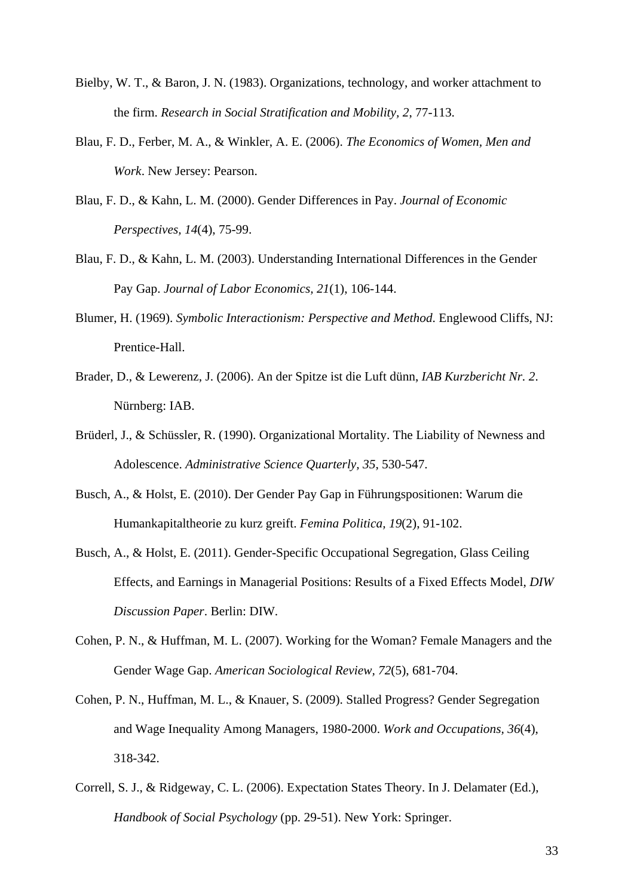- Bielby, W. T., & Baron, J. N. (1983). Organizations, technology, and worker attachment to the firm. *Research in Social Stratification and Mobility, 2*, 77-113.
- Blau, F. D., Ferber, M. A., & Winkler, A. E. (2006). *The Economics of Women, Men and Work*. New Jersey: Pearson.
- Blau, F. D., & Kahn, L. M. (2000). Gender Differences in Pay. *Journal of Economic Perspectives, 14*(4), 75-99.
- Blau, F. D., & Kahn, L. M. (2003). Understanding International Differences in the Gender Pay Gap. *Journal of Labor Economics, 21*(1), 106-144.
- Blumer, H. (1969). *Symbolic Interactionism: Perspective and Method*. Englewood Cliffs, NJ: Prentice-Hall.
- Brader, D., & Lewerenz, J. (2006). An der Spitze ist die Luft dünn, *IAB Kurzbericht Nr. 2*. Nürnberg: IAB.
- Brüderl, J., & Schüssler, R. (1990). Organizational Mortality. The Liability of Newness and Adolescence. *Administrative Science Quarterly, 35*, 530-547.
- Busch, A., & Holst, E. (2010). Der Gender Pay Gap in Führungspositionen: Warum die Humankapitaltheorie zu kurz greift. *Femina Politica, 19*(2), 91-102.
- Busch, A., & Holst, E. (2011). Gender-Specific Occupational Segregation, Glass Ceiling Effects, and Earnings in Managerial Positions: Results of a Fixed Effects Model, *DIW Discussion Paper*. Berlin: DIW.
- Cohen, P. N., & Huffman, M. L. (2007). Working for the Woman? Female Managers and the Gender Wage Gap. *American Sociological Review, 72*(5), 681-704.
- Cohen, P. N., Huffman, M. L., & Knauer, S. (2009). Stalled Progress? Gender Segregation and Wage Inequality Among Managers, 1980-2000. *Work and Occupations, 36*(4), 318-342.
- Correll, S. J., & Ridgeway, C. L. (2006). Expectation States Theory. In J. Delamater (Ed.), *Handbook of Social Psychology* (pp. 29-51). New York: Springer.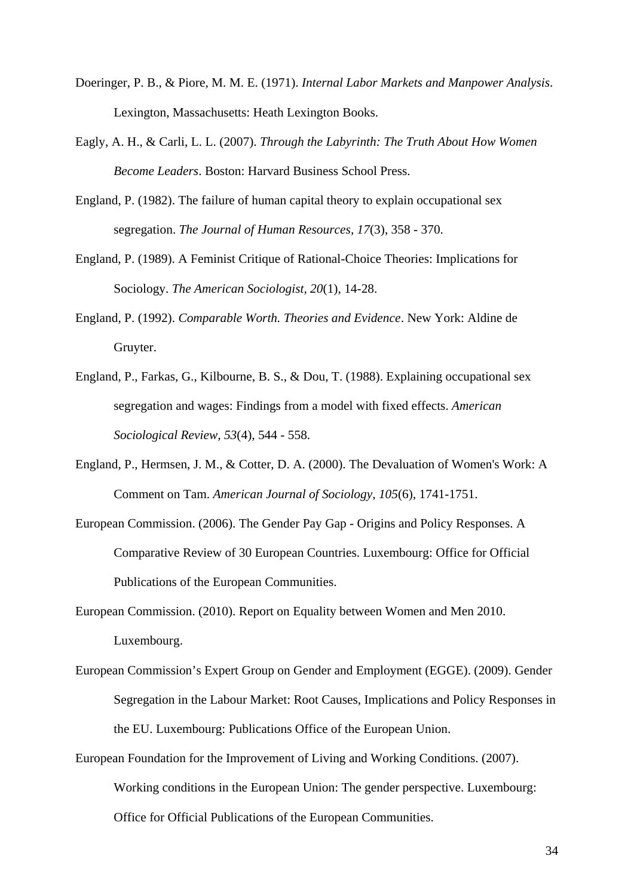- Doeringer, P. B., & Piore, M. M. E. (1971). *Internal Labor Markets and Manpower Analysis*. Lexington, Massachusetts: Heath Lexington Books.
- Eagly, A. H., & Carli, L. L. (2007). *Through the Labyrinth: The Truth About How Women Become Leaders*. Boston: Harvard Business School Press.
- England, P. (1982). The failure of human capital theory to explain occupational sex segregation. *The Journal of Human Resources, 17*(3), 358 - 370.
- England, P. (1989). A Feminist Critique of Rational-Choice Theories: Implications for Sociology. *The American Sociologist, 20*(1), 14-28.
- England, P. (1992). *Comparable Worth. Theories and Evidence*. New York: Aldine de Gruyter.
- England, P., Farkas, G., Kilbourne, B. S., & Dou, T. (1988). Explaining occupational sex segregation and wages: Findings from a model with fixed effects. *American Sociological Review, 53*(4), 544 - 558.
- England, P., Hermsen, J. M., & Cotter, D. A. (2000). The Devaluation of Women's Work: A Comment on Tam. *American Journal of Sociology, 105*(6), 1741-1751.
- European Commission. (2006). The Gender Pay Gap Origins and Policy Responses. A Comparative Review of 30 European Countries. Luxembourg: Office for Official Publications of the European Communities.
- European Commission. (2010). Report on Equality between Women and Men 2010. Luxembourg.
- European Commission's Expert Group on Gender and Employment (EGGE). (2009). Gender Segregation in the Labour Market: Root Causes, Implications and Policy Responses in the EU. Luxembourg: Publications Office of the European Union.
- European Foundation for the Improvement of Living and Working Conditions. (2007). Working conditions in the European Union: The gender perspective. Luxembourg: Office for Official Publications of the European Communities.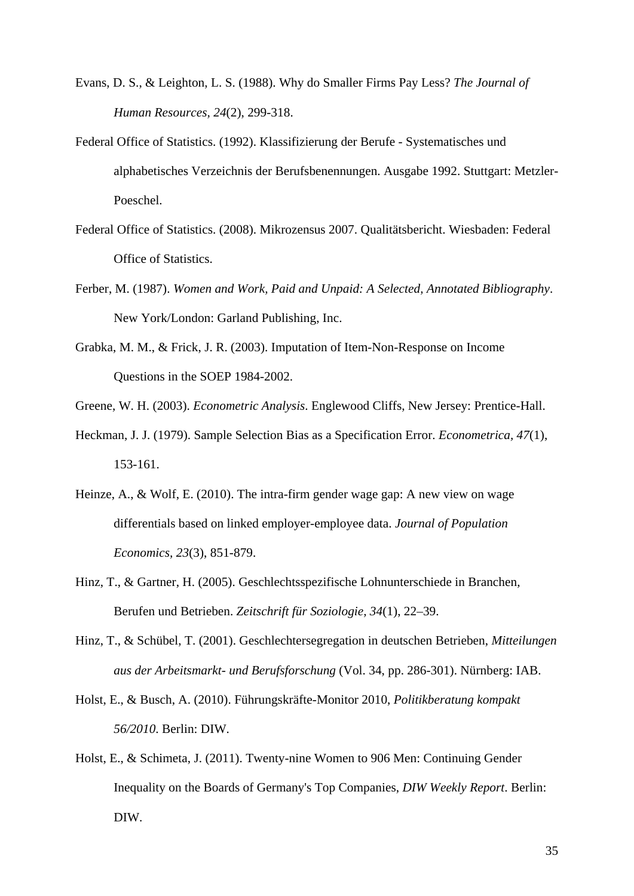- Evans, D. S., & Leighton, L. S. (1988). Why do Smaller Firms Pay Less? *The Journal of Human Resources, 24*(2), 299-318.
- Federal Office of Statistics. (1992). Klassifizierung der Berufe Systematisches und alphabetisches Verzeichnis der Berufsbenennungen. Ausgabe 1992. Stuttgart: Metzler-Poeschel.
- Federal Office of Statistics. (2008). Mikrozensus 2007. Qualitätsbericht. Wiesbaden: Federal Office of Statistics.
- Ferber, M. (1987). *Women and Work, Paid and Unpaid: A Selected, Annotated Bibliography*. New York/London: Garland Publishing, Inc.
- Grabka, M. M., & Frick, J. R. (2003). Imputation of Item-Non-Response on Income Questions in the SOEP 1984-2002.
- Greene, W. H. (2003). *Econometric Analysis*. Englewood Cliffs, New Jersey: Prentice-Hall.
- Heckman, J. J. (1979). Sample Selection Bias as a Specification Error. *Econometrica, 47*(1), 153-161.
- Heinze, A., & Wolf, E. (2010). The intra-firm gender wage gap: A new view on wage differentials based on linked employer-employee data. *Journal of Population Economics, 23*(3), 851-879.
- Hinz, T., & Gartner, H. (2005). Geschlechtsspezifische Lohnunterschiede in Branchen, Berufen und Betrieben. *Zeitschrift für Soziologie, 34*(1), 22–39.
- Hinz, T., & Schübel, T. (2001). Geschlechtersegregation in deutschen Betrieben, *Mitteilungen aus der Arbeitsmarkt- und Berufsforschung* (Vol. 34, pp. 286-301). Nürnberg: IAB.
- Holst, E., & Busch, A. (2010). Führungskräfte-Monitor 2010, *Politikberatung kompakt 56/2010*. Berlin: DIW.
- Holst, E., & Schimeta, J. (2011). Twenty-nine Women to 906 Men: Continuing Gender Inequality on the Boards of Germany's Top Companies, *DIW Weekly Report*. Berlin: DIW.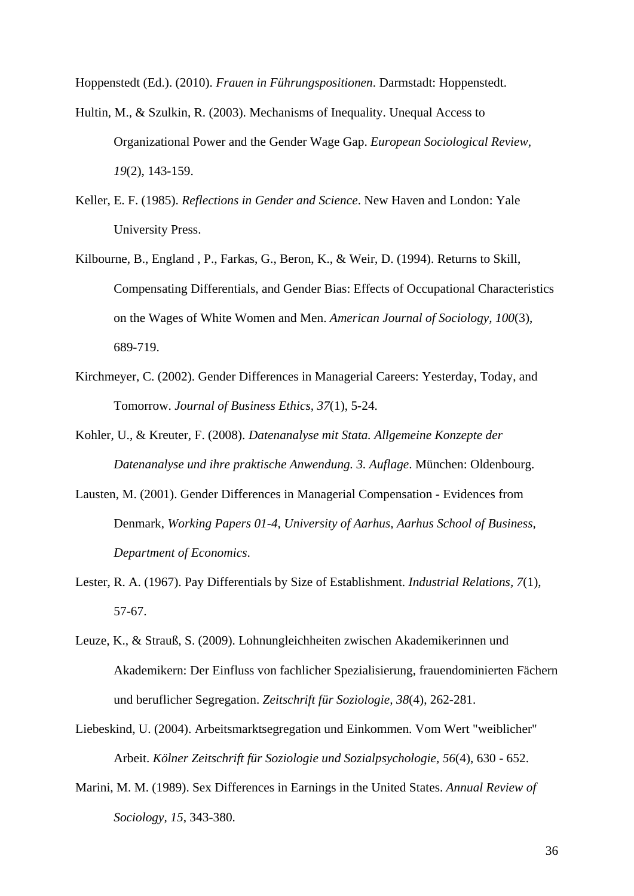Hoppenstedt (Ed.). (2010). *Frauen in Führungspositionen*. Darmstadt: Hoppenstedt.

- Hultin, M., & Szulkin, R. (2003). Mechanisms of Inequality. Unequal Access to Organizational Power and the Gender Wage Gap. *European Sociological Review, 19*(2), 143-159.
- Keller, E. F. (1985). *Reflections in Gender and Science*. New Haven and London: Yale University Press.
- Kilbourne, B., England , P., Farkas, G., Beron, K., & Weir, D. (1994). Returns to Skill, Compensating Differentials, and Gender Bias: Effects of Occupational Characteristics on the Wages of White Women and Men. *American Journal of Sociology, 100*(3), 689-719.
- Kirchmeyer, C. (2002). Gender Differences in Managerial Careers: Yesterday, Today, and Tomorrow. *Journal of Business Ethics, 37*(1), 5-24.
- Kohler, U., & Kreuter, F. (2008). *Datenanalyse mit Stata. Allgemeine Konzepte der Datenanalyse und ihre praktische Anwendung. 3. Auflage*. München: Oldenbourg.
- Lausten, M. (2001). Gender Differences in Managerial Compensation Evidences from Denmark, *Working Papers 01-4, University of Aarhus, Aarhus School of Business, Department of Economics*.
- Lester, R. A. (1967). Pay Differentials by Size of Establishment. *Industrial Relations, 7*(1), 57-67.
- Leuze, K., & Strauß, S. (2009). Lohnungleichheiten zwischen Akademikerinnen und Akademikern: Der Einfluss von fachlicher Spezialisierung, frauendominierten Fächern und beruflicher Segregation. *Zeitschrift für Soziologie, 38*(4), 262-281.
- Liebeskind, U. (2004). Arbeitsmarktsegregation und Einkommen. Vom Wert "weiblicher" Arbeit. *Kölner Zeitschrift für Soziologie und Sozialpsychologie, 56*(4), 630 - 652.
- Marini, M. M. (1989). Sex Differences in Earnings in the United States. *Annual Review of Sociology, 15*, 343-380.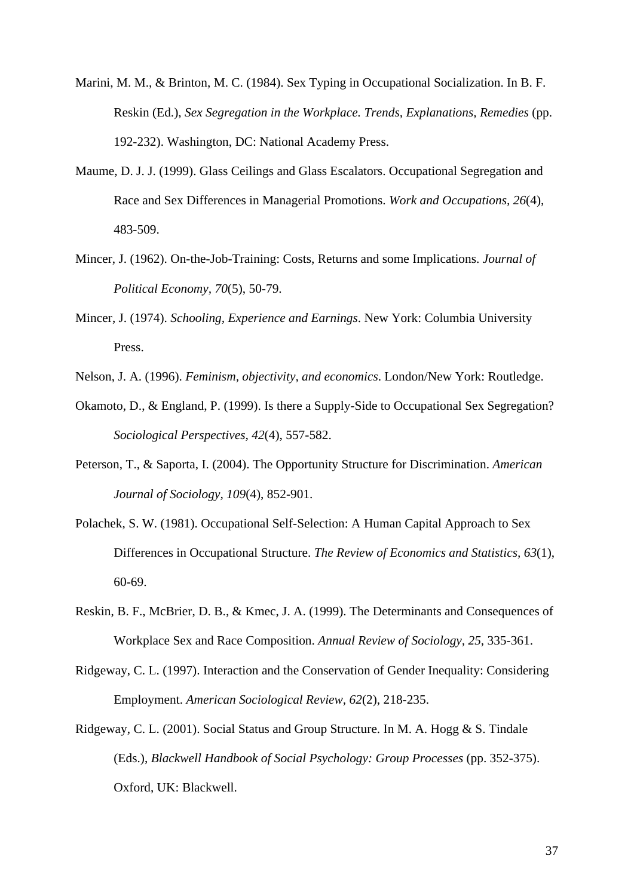- Marini, M. M., & Brinton, M. C. (1984). Sex Typing in Occupational Socialization. In B. F. Reskin (Ed.), *Sex Segregation in the Workplace. Trends, Explanations, Remedies* (pp. 192-232). Washington, DC: National Academy Press.
- Maume, D. J. J. (1999). Glass Ceilings and Glass Escalators. Occupational Segregation and Race and Sex Differences in Managerial Promotions. *Work and Occupations, 26*(4), 483-509.
- Mincer, J. (1962). On-the-Job-Training: Costs, Returns and some Implications. *Journal of Political Economy, 70*(5), 50-79.
- Mincer, J. (1974). *Schooling, Experience and Earnings*. New York: Columbia University Press.
- Nelson, J. A. (1996). *Feminism, objectivity, and economics*. London/New York: Routledge.
- Okamoto, D., & England, P. (1999). Is there a Supply-Side to Occupational Sex Segregation? *Sociological Perspectives, 42*(4), 557-582.
- Peterson, T., & Saporta, I. (2004). The Opportunity Structure for Discrimination. *American Journal of Sociology, 109*(4), 852-901.
- Polachek, S. W. (1981). Occupational Self-Selection: A Human Capital Approach to Sex Differences in Occupational Structure. *The Review of Economics and Statistics, 63*(1), 60-69.
- Reskin, B. F., McBrier, D. B., & Kmec, J. A. (1999). The Determinants and Consequences of Workplace Sex and Race Composition. *Annual Review of Sociology, 25*, 335-361.
- Ridgeway, C. L. (1997). Interaction and the Conservation of Gender Inequality: Considering Employment. *American Sociological Review, 62*(2), 218-235.
- Ridgeway, C. L. (2001). Social Status and Group Structure. In M. A. Hogg & S. Tindale (Eds.), *Blackwell Handbook of Social Psychology: Group Processes* (pp. 352-375). Oxford, UK: Blackwell.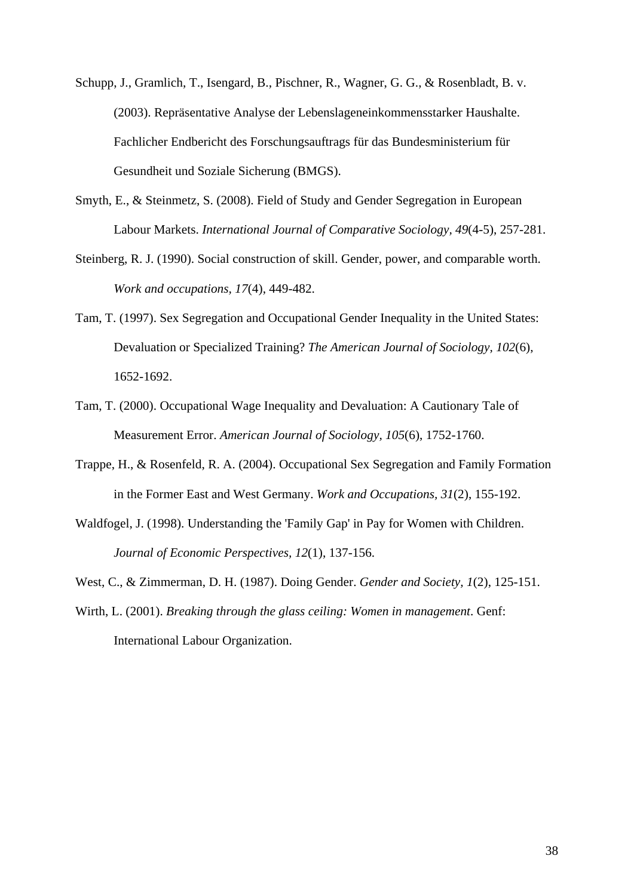- Schupp, J., Gramlich, T., Isengard, B., Pischner, R., Wagner, G. G., & Rosenbladt, B. v. (2003). Repräsentative Analyse der Lebenslageneinkommensstarker Haushalte. Fachlicher Endbericht des Forschungsauftrags für das Bundesministerium für Gesundheit und Soziale Sicherung (BMGS).
- Smyth, E., & Steinmetz, S. (2008). Field of Study and Gender Segregation in European Labour Markets. *International Journal of Comparative Sociology, 49*(4-5), 257-281.
- Steinberg, R. J. (1990). Social construction of skill. Gender, power, and comparable worth. *Work and occupations, 17*(4), 449-482.
- Tam, T. (1997). Sex Segregation and Occupational Gender Inequality in the United States: Devaluation or Specialized Training? *The American Journal of Sociology, 102*(6), 1652-1692.
- Tam, T. (2000). Occupational Wage Inequality and Devaluation: A Cautionary Tale of Measurement Error. *American Journal of Sociology, 105*(6), 1752-1760.
- Trappe, H., & Rosenfeld, R. A. (2004). Occupational Sex Segregation and Family Formation in the Former East and West Germany. *Work and Occupations, 31*(2), 155-192.
- Waldfogel, J. (1998). Understanding the 'Family Gap' in Pay for Women with Children. *Journal of Economic Perspectives, 12*(1), 137-156.
- West, C., & Zimmerman, D. H. (1987). Doing Gender. *Gender and Society, 1*(2), 125-151.
- Wirth, L. (2001). *Breaking through the glass ceiling: Women in management*. Genf: International Labour Organization.